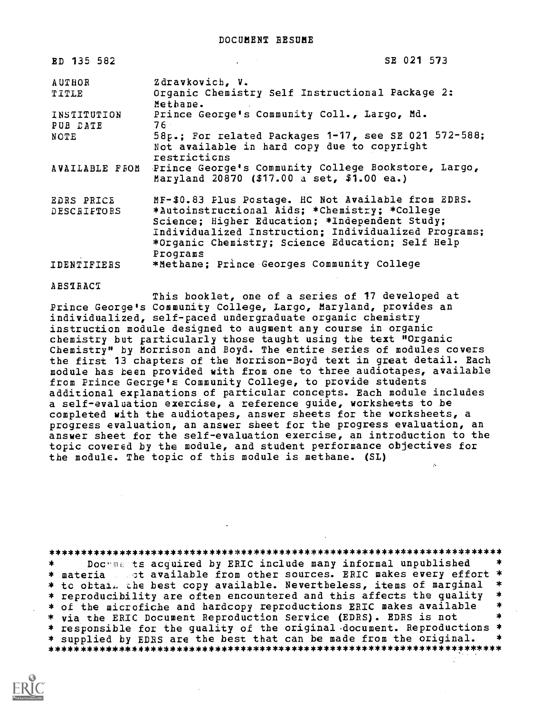| <b>BD 135 582</b>  | SE 021 573                                                                                                          |
|--------------------|---------------------------------------------------------------------------------------------------------------------|
| <b>AUTHOR</b>      | Zdravkovich, V.                                                                                                     |
| TITLE              | Organic Chemistry Self Instructional Package 2:<br>Methane.                                                         |
| INSTITUTION        | Prince George's Community Coll., Largo, Md.                                                                         |
| PUB DATE           | 76 <sup>°</sup>                                                                                                     |
| NOTE               | 58p.; For related Packages 1-17, see SE 021 572-588;<br>Not available in hard copy due to copyright<br>restrictions |
| AVAILABLE FROM     | Prince George's Community College Bookstore, Largo,<br>Maryland 20870 (\$17.00 a set, \$1.00 ea.)                   |
| EDRS PRICE         | MF-\$0.83 Flus Postage. HC Not Available from EDRS.                                                                 |
| <b>DESCRIFTORS</b> | *Autoinstructional Aids; *Chemistry; *College                                                                       |
|                    | Science; Higher Education; *Independent Study;                                                                      |
|                    |                                                                                                                     |
|                    | Individualized Instruction; Individualized Programs;                                                                |
|                    | *Organic Chemistry; Science Education; Self Help                                                                    |
|                    | Programs                                                                                                            |
| IDENTIFIERS        | *Methane; Prince Georges Community College                                                                          |
|                    |                                                                                                                     |

#### ABSIRACT

This booklet, one of a series of 17 developed at Prince George's Community College, Largo, Maryland, provides an individualized, self-paced undergraduate organic chemistry instruction module designed to augment any course in organic chemistry but particularly those taught using the text "Organic Chemistry" by Morrison and Boyd. The entire series of modules covers the first 13 chapters of the Morrison-Boyd text in great detail. Each<br>module has keen provided with from one to three audiotapes, available from Prince Gecrge's Community College, to provide students additional explanations of particular concepts. Each module includes a self-evaluation exercise, a reference guide, worksheets to be completed with the audiotapes, answer sheets for the worksheets, a progress evaluation, an answer sheet for the progress evaluation, an answer sheet for the self-evaluation exercise, an introduction to the topic covered by the module, and student performance objectives for the module. The topic of this module is methane. (SL)

Dochme ts acquired by ERIC include many informal unpublished \* materia and available from other sources. ERIC makes every effort \* \* to obtain the best copy available. Nevertheless, items of marginal \* reproducibility are often encountered and this affects the quality \* of the microfiche and hardcopy reproductions ERIC makes available  $\star$ \* via the ERIC Document Reproduction Service (EDRS). EDRS is not \* responsible for the quality of the original document. Reproductions \* \* supplied by EDRS are the best that can be made from the original.  $\star$ 

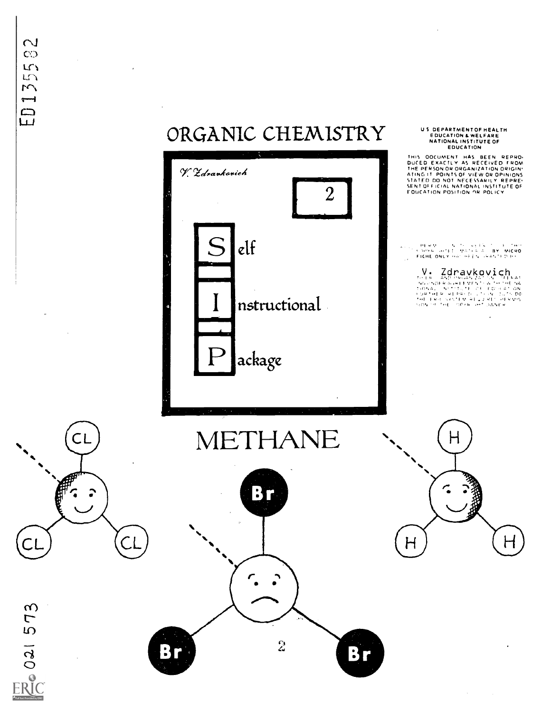# $L \cap$  $\sqrt{ }$  $\sim$  $\leftarrow$  $\Xi$

 $\sim$  $\mathbf{C}$ 

 $\overline{\phantom{a}}$ 

# ORGANIC CHEMISTRY



#### U.S. DEPARTMENTOF HEALTH EDUCATION & WELFARE EDUCATION

 $\bar{z}$ 

THIS OOCUMENT HAS BEEN REPRO-<br>DUCED EXACTLY AS RECEIVED FROM<br>THE PERSON OR ORGANIZATION ORIGINATION<br>ATING IT POINTS OF VIEW OR OPINIONS<br>STATED DO NOT NECESSARILY REPRE-<br>SENT OF FICIAL NATIONAL INSTITUTE OF<br>FOUCATION POSITI

 $H$ 

ີ

 $\sim$ 

H

 $H$ 

**िति** 

 $\begin{array}{ll} \mathsf{V} & \bullet & \mathsf{Zd} \cap \mathsf{aux}_\mathsf{P} \mathsf{vol}_\mathsf{P} \mathsf{col} \mathsf{ch}_{\mathsf{M}} \\ \mathsf{new\_a} & \mathsf{new\_a} \mathsf{vol}_\mathsf{P} \mathsf{col} \mathsf{vol}_\mathsf{P} \mathsf{col} \mathsf{col} \mathsf{col} \mathsf{val} \\ \mathsf{new\_a} & \mathsf{new\_a} & \mathsf{new\_a} & \mathsf{new\_a} & \mathsf{new\_a} \\ \mathsf{new\_a} & \mathsf{new\_a} & \mathsf{new\_a} & \mathsf{new\_a$ 



021 573

ERIC

Bſ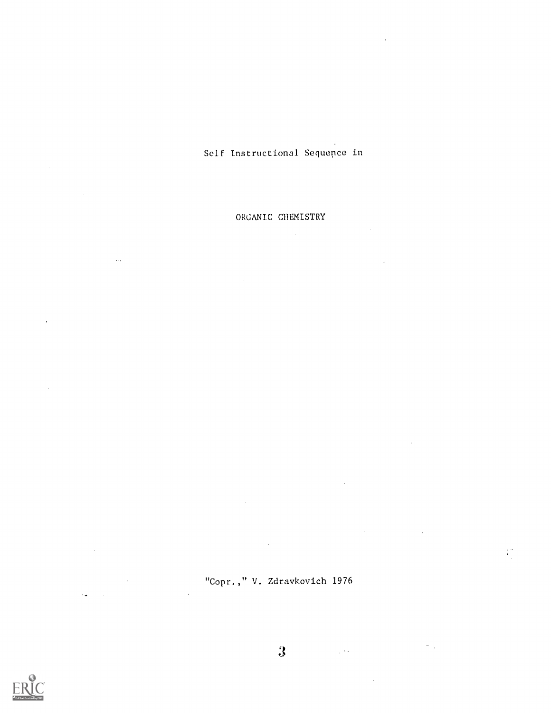$\sim$ Self Instructional Sequence in  $\sim$   $\sim$ 

 $\mathcal{L}_{\mathcal{A}}$ 

 $\sim 10$ 

 $\label{eq:2.1} \frac{\partial}{\partial t} \left( \frac{\partial}{\partial t} \right) = \frac{\partial}{\partial t} \left( \frac{\partial}{\partial t} \right)$ 

 $\frac{1}{\hbar}$  .

 $\sim 10^{-1}$ 

 $\mathcal{L}^{\text{max}}_{\text{max}}$  and  $\mathcal{L}^{\text{max}}_{\text{max}}$  and  $\mathcal{L}^{\text{max}}_{\text{max}}$ 

 $\sim 10^{-11}$ 

 $\sim 10^6$ 

# ORGANIC CHEMISTRY

"Copr.," V. Zdravkovich 1976

 $\sim 10^6$ 



 $\sim$   $\sim$ 

 $\hat{\mathcal{A}}$ 

 $\sim$ 

 $\mathcal{L}^{\text{max}}_{\text{max}}$ 

 $\epsilon_{\bullet}$  ,  $\epsilon_{\bullet}$  ,

 $\sim$ 

 $\hat{\boldsymbol{\beta}}$ 

 $\sim 100$  km s  $^{-1}$ 

 $\ddot{\bm{3}}$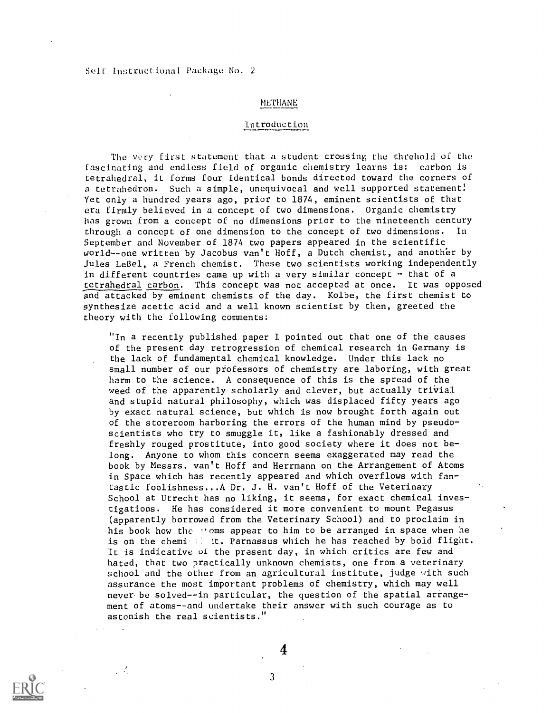# Self Lnstructionat Package No. <sup>2</sup>

### METHANE

### Introduction

The very first statement that a student crossing the threhold of the fascinating and endless field of organic chemistry learns is: carbon is tetrahedral, it forms four identical bonds directed toward the corners of a tetrahedron. Such a simple, unequivocal and well supported statement! Yet only a hundred years ago, prior to 1874, eminent scientists of that era firmly believed in a concept of two dimensions. Organic chemistry has grown from a concept of no dimensions prior to the nineteenth century through a concept of one dimension to the concept of two dimensions. In September and November of 1874 two papers appeared in the scientific world--one written by Jacobus van't Hoff, a Dutch chemist, and another by Jules LeBel, a French chemist. These two scientists working independently in different countries came up with a very similar concept  $-$  that of a tetrahedral carbon. This concept was not accepted at once. It was opposed and attacked by eminent chemists of the day. Kolbe, the first chemist to sYnthesize acetic acid and a well known scientist by then, greeted the theory with the following comments:

"In a recently published paper I pointed out that one of the causes of the present day retrogression of chemical research in Germany is the lack of fundamental chemical knowledge. Under this lack no small number of our professors of chemistry are laboring, with great harm to the science. A consequence of this is the spread of the weed of the apparently scholarly and clever, but actually trivial and stupid natural philosophy, which was displaced fifty years ago by exact natural science, but which is now brought forth again out of the storeroom harboring the errors of the human mind by pseudoscientists who try to smuggle it, like a fashionably dressed and freshly rouged prostitute, into good society where it does not belong. Anyone to whom this concern seems exaggerated may read the book by Messrs. van't Hoff and Herrmann on the Arrangement of Atoms in Space which has recently appeared and which overflows with fantastic foolishness...A Dr. J. H. van't Hoff of the Veterinary School at Utrecht has no liking, it seems, for exact chemical investigations. He has considered it more convenient to mount Pegasus (apparently borrowed from the Veterinary School) and to proclaim in his book how the *"oms appear to him to be arranged in space when he* is on the chemi  $t$ . It. Parnassus which he has reached by boid flight. It is indicative of the present day, in which critics are few and hated, that two practically unknown chemists, one from a veterinary school and the other from an agricultural institute, judge with such assurance the most important problems of chemistry, which may well never be solved--in particular, the question of the spatial arrangement of atoms--and undertake their answer with such courage as to astonish the real scientists."

 $\mathcal{L}$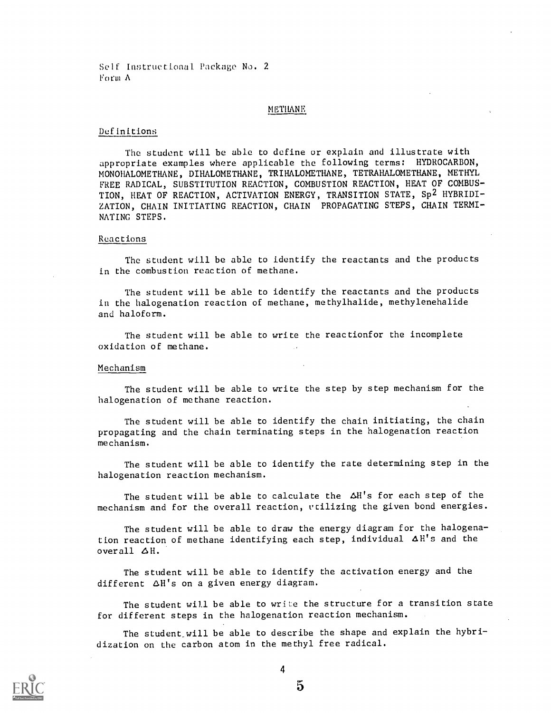Self Instructional Package No. 2 Form A

#### METHANE

#### Definitions

The student will be able to define or explain and illustrate with appropriate examples where applicable the following terms: HYDROCARBON, MONOHALOMETHANE, DIHALOMETHANE, TRIHALOMETHANE, TETRAHALOMETHANE, METHYL FREE RADICAL, SUBSTITUTION REACTION, COMBUSTION REACTION, HEAT OF COMBUS-TION, HEAT OF REACTION, ACTIVATION ENERGY, TRANSITION STATE, Sp<sup>2</sup> HYBRIDI-ZATION, CHAIN INITIATING REACTION, CHAIN PROPAGATING STEPS, CHAIN TERMI-NATING STEPS.

### Reactions

The student will be able to identify the reactants and the products in the combustion reaction of methane.

The student will be able to identify the reactants and the products in the halogenation reaction of methane, methylhalide, methylenehalide and haloform.

The student will be able to write the reactionfor the incomplete oxidation of methane.

### Mechanism

The student will be able to write the step by step mechanism for the halogenation of methane reaction.

The student will be able to identify the chain initiating, the chain propagating and the chain terminating steps in the halogenation reaction mechanism.

The student will be able to identify the rate determining step in the halogenation reaction mechanism.

The student will be able to calculate the  $\Delta H'$ s for each step of the mechanism and for the overall reaction, vtilizing the given bond energies.

The student will be able to draw the energy diagram for the halogenation reaction of methane identifying each step, individual  $\Delta H'$ s and the overall  $\Delta H$ .

The student will be able to identify the activation energy and the different AH's on a given energy diagram.

The student will be able to write the structure for a transition state for different steps in the halogenation reaction mechanism.

The student will be able to describe the shape and explain the hybridization on the carbon atom in the methyl free radical.

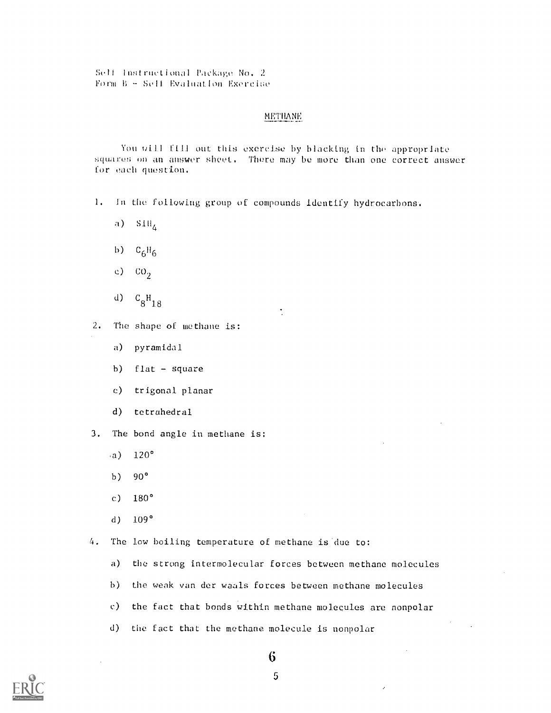Self Instructional Package No, <sup>2</sup> Form  $B = Set1$  Evaluation Exercise

### METHANF

You will fill out this exercise by blacking in the appropriate squares on an answer sheet. There may be more than one correct answer for each question.

- I. In the following group of compounds identify hydrocarbons..
	- a)  $\mathrm{SH}_4$
	- b)  $C_6H_6$
	- e)  $CO<sub>2</sub>$
	- d)  $C_8H_{18}$
- 2. The shape of methane is:
	- a) pyramidal
	- b)  $flat square$
	- c) trigonal planar
	- d) tetrahedral
- 3. The bond angle in methane is:
	- 'a) 120°
	- b) 90°
	- c) 180°
	- d) 109°
- 4. The low boiling temperature of methane is due to:
	- a) the strong intermolecular forces between methane molecules
	- b) the weak van der waals forces between methane molecules
	- c) the fact that bonds within methane molecules are nonpolar
	- d) the fact that the methane molecule is nonpolar

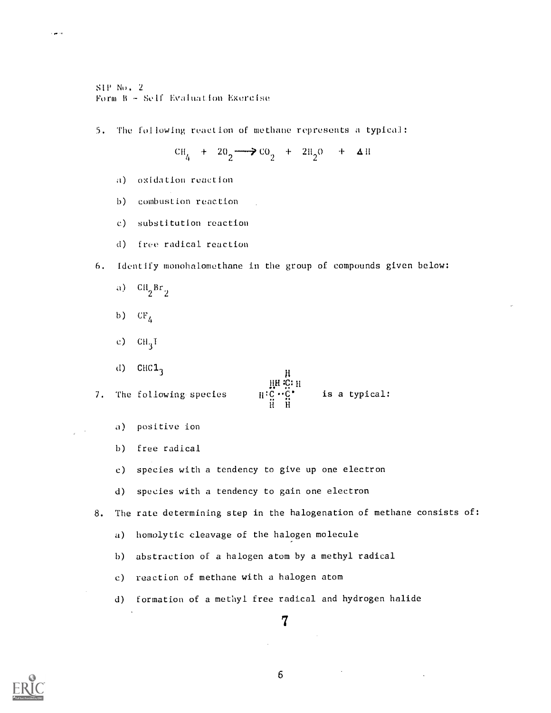SIP Nu. 2 Form  $B - Set$  Evaluation Exercise

5. The following reaction of methane represents a typical:

$$
CH_4 + 20_2 \longrightarrow CO_2 + 2H_2O + \Delta H
$$

- a) oxidation reaction
- b) combustion reaction
- c) substitution reaction
- d) free radical reaction
- 6. identify monohalomethane in the group of compounds given below:
	- a)  $\text{CH}_2\text{Br}_2$ 2
	- b)  $CF_4$

والموا

- c)  $CH<sub>3</sub>T$
- d)  $CHC1<sub>3</sub>$

 $\begin{array}{c}\n\text{H} \\
\text{HH}:\text{C}:\text{H} \\
\text{H}:\text{C} \cdot \text{C}^* \\
\end{array}$  is a typical: 7. The following species

- a) positive ion
- b) free radical
- c) species with a tendency to give up one electron
- d) species with a tendency to gain one electron
- 8. The rate determining step in the halogenation of methane consists of:
	- a) homolytic cleavage of the halogen molecule
	- b) abstraction of a halogen atom by a methyl radical
	- c) reaction of methane with a halogen atom
	- d) formation of a methyl free radical and hydrogen halide

7

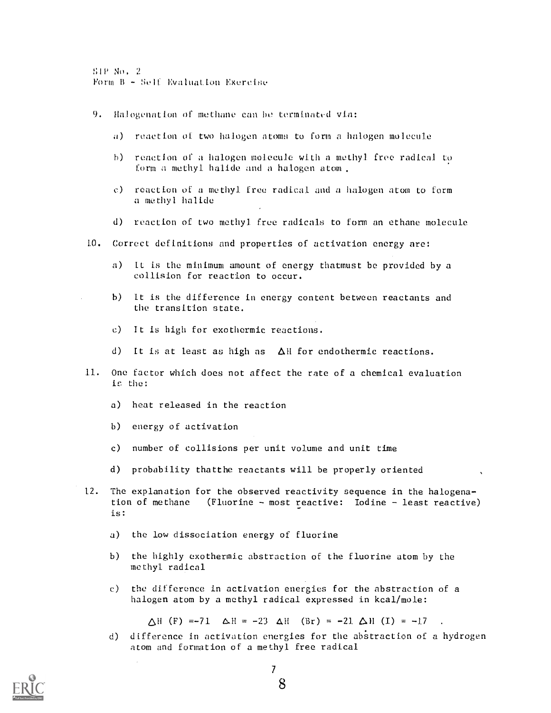NIP No. <sup>2</sup> Form  $B = Set$  Evaluation Exercise

- 9. Halogenation of methane can be terminated via:
	- a) reaction of two halogen atoms to form a halogen molecule
	- h) reaction of a halogen molecule with a methyl free radical to form a methyl halide and a halogen atom.
	- c) reaction of a methyl free radical and a halogen atom to form a methyl halide
	- d) reaction of two methyl free radicals to form an ethane molecule
- 10. Correct definitions and properties of activation energy are:
	- a) it is the minimum amount of energy thatmust be provided by a collision for reaction to occur.
	- b) it is the difference in energy content between reactants and the transition state.
	- c) It is high for exothermic reactions.
	- d) It is at least as high as  $\Delta H$  for endothermic reactions.
- 11. One factor which does not affect the rate of a chemical evaluation ic the:
	- a) heat released in the reaction
	- b) energy of activation
	- c) number of collisions per unit volume and unit time
	- d) probability thatthe reactants will be properly oriented
- 12. The explanation for the observed reactivity sequence in the halogenation of methane (Fluorine - most reactive: Iodine - least reactive) is:
	- a) the low dissociation energy of fluorine
	- b) the highly exothermic abstraction of the fluorine atom by the methyl radical
	- c) the difference in activation energies for the abstraction of a halogen atom by a methyl radical expressed in kcal/mole:

 $\triangle H$  (F) =-71  $\triangle H = -23$   $\triangle H$  (Br) = -21  $\triangle H$  (I) = -17

d) difference in activation energies for the abstraction of a hydrogen atom and formation of a methyl free radical

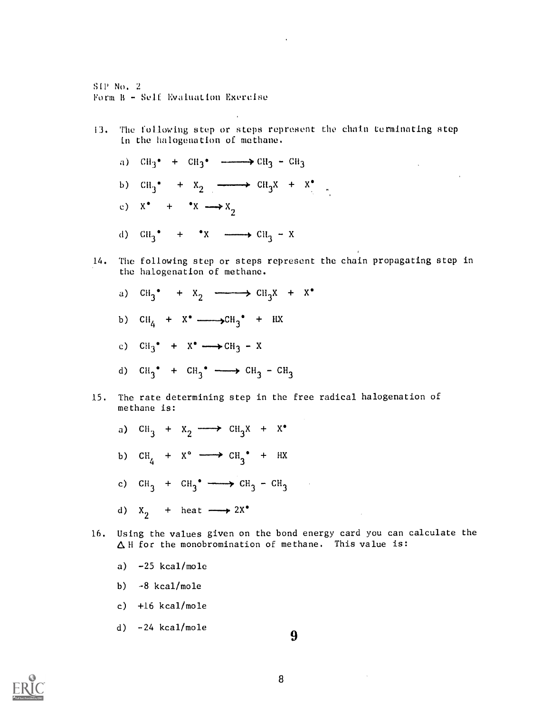SIP No. 2 Form 8 - Self Evaluation Exercise

- 13. The following step or steps represent the chain terminating step Ln the halogenation of methane.
	- a)  $CH_3^{\bullet}$  +  $CH_3^{\bullet}$   $\longrightarrow CH_3$   $CH_3$ b)  $CH_3^{\bullet}$  +  $X_2$   $\longrightarrow CH_3X$  +  $X^{\bullet}$
	- c)  $X^*$  +  $*X \longrightarrow X_2$
	- (1)  $\text{CH}_3^{\bullet}$  +  $\text{X}$   $\longrightarrow$   $\text{CH}_3$  X
- 14. The following step or steps represent the chain propagating step in the halogenation of methane.
	- a) CH<sub>3</sub><sup>\*</sup> +  $X_2$   $\longrightarrow$  CH<sub>3</sub>X + X<sup>\*</sup> b)  $CH_4$  +  $X^{\bullet}$   $\longrightarrow CH_3^{\bullet}$  +  $HX$ c)  $CH_3^{\bullet}$  +  $X^{\bullet}$   $\longrightarrow CH_3 - X$ d)  $CH_3^{\bullet}$  +  $CH_3^{\bullet}$  -  $CH_3$  -  $CH_3$ 3
- 15. The rate determining step in the free radical halogenation of methane is:
	- a) CH<sub>3</sub> +  $X_2 \longrightarrow$  CH<sub>3</sub>X + X<sup>o</sup> b)  $CH_4 + X^{\circ} \longrightarrow CH_3^{\circ} + HX$ c)  $CH_3$  +  $CH_3$   $\longrightarrow CH_3$  -  $CH_3$ d)  $X_2$  + heat  $\longrightarrow 2X^{\bullet}$
- 16. Using the values given on the bond energy card you can calculate the  $\Delta$  H for the monobromination of methane. This value is:
	- a)  $-25$  kcal/mole
	- b) -8 kcal/mole
	- c) +16 kcal/mole
	- d)  $-24$  kcal/mole

9

 $\sim$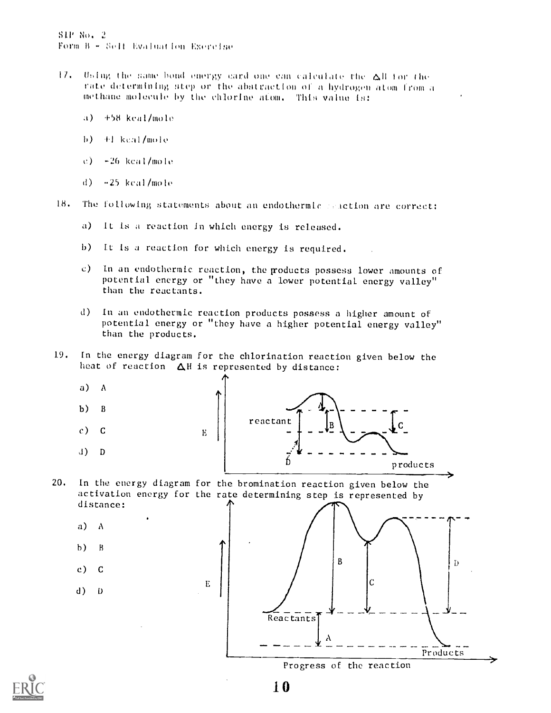SIT No. rorm B kvaluation ENercise

- I/. iking the :;ame bond energy card ono can calculate the all tor Ihe rate determining step or the abstraction of a hydrogen atom from a methane molecule by the chlorine atom. This value is:
	- a) +58 kcal/mole
	- b) +I kcal/mole
	- $\langle \cdot \rangle$ -26 kcal/mole
	- d) -25 kcal/mole

18. The following statements about an endothermic seaction are correct:

a) It is a reaction in which energy is released.

 $\mathbf E$ 

- b) ft Is a reaction for which energy is required.
- c) In an endothermic reaction, the products possess lower amounts of potential energy or "they have a lower potential energy valley" than the reactants.
- d) In an endothermic reaction products possess a higher amount of potential energy or "they have a higher potential energy valley" than the products.
- 19. in the energy diagram for the chlorination reaction given below the heat of reaction  $\Delta H$  is represented by distance:



- $b)$  B
- c) C
- $d$ )  $D$



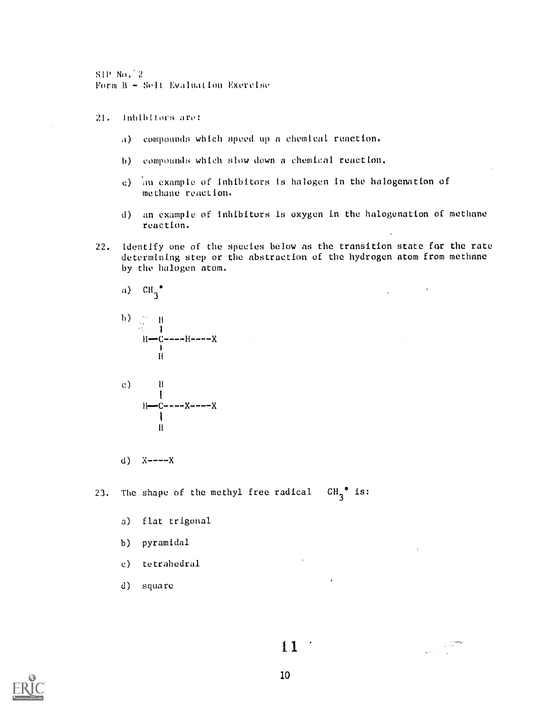SIP No. Form  $B = Soft$  Evaluation Exercise

- 21. Inhibitors aro:
	- a) compounds which speed up a chemical reaction,
	- b) compounds which slow down a chemical reaction.
	- c) 'an example of Inhibitors is halogen In the halogenation of methane reaction.
	- d) an example of inhibitors is oxygen in the halogenation of methane reaction.
- 22. Identify one of the species below as the transition state for the rate determining step or the abstraction of the hydrogen atom from methane by the halogen atom.

a)  $CH_{\gamma}^{\bullet}$ 3 b)  $\mathbb{R}^n$  II  $H = \frac{H}{C}$ <br>H $= -H$ <br>H<br>H

 $c)$  H  $\mathbf{I}$  $H = C - C - X - X - X$  $\mathbf{H}$ 

d) X----X

23. The shape of the methyl free radical  $3^{\circ}$  is:

- a) flat trigonal
- b) pyramidal
- c) tetrahedral
- d) square



 $\sim 10^{-1}$ 

 $\ddot{\phantom{a}}$ 

 $\mathcal{L}_{\rm{max}}$  and  $\mathcal{L}_{\rm{max}}$  and  $\mathcal{L}_{\rm{max}}$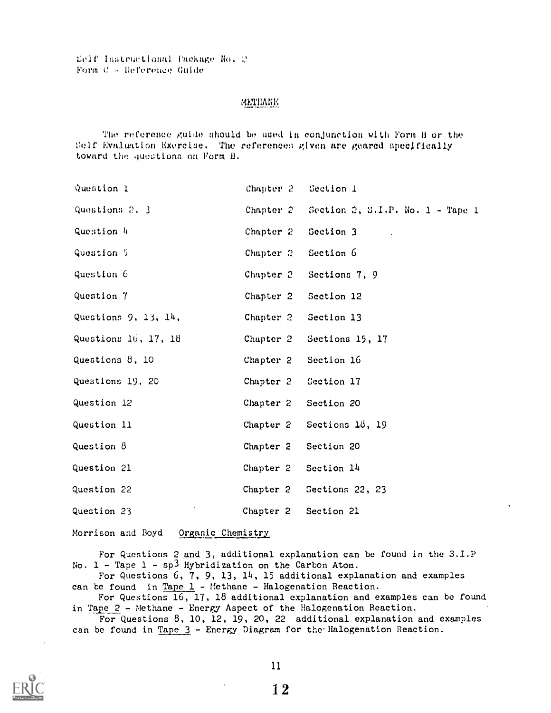Self Instructional Package No. 2 Form C - Reference Guide

# МЕТНАНЕ

The reference guide should be used in conjunction with Form B or the  $10$  Evaluation Exercise. The references given are geared specifically toward the queotions on Form B.

| Question 1             | Chapter 2 | Section 1                                  |
|------------------------|-----------|--------------------------------------------|
| Questions 2, 3         | Chapter 2 | Section 2, S.I.P. No. $1 - \text{Page } 1$ |
| Question 4             | Chapter 2 | Section 3                                  |
| Question 5             | Chapter 2 | Section 6                                  |
| Question 6             | Chapter 2 | Sections 7, 9                              |
| Question 7             | Chapter 2 | Section 12                                 |
| Questions $9, 13, 14,$ | Chapter 2 | Section 13                                 |
| Questions 16, 17, 18   | Chapter 2 | Sections 15, 17                            |
| Questions $8, 10$      | Chapter 2 | Section 16                                 |
| Questions 19, 20       | Chapter 2 | Section 17                                 |
| Question 12            | Chapter 2 | Section 20                                 |
| Question 11            | Chapter 2 | Sections $18, 19$                          |
| Question $8$           | Chapter 2 | Section 20                                 |
| Question 21            | Chapter 2 | Section 14                                 |
| Question 22            | Chapter 2 | Sections 22, 23                            |
| Question 23            | Chapter 2 | Section 21                                 |
|                        |           |                                            |

Morrison and Boyd Organic Chemistry

For Questions 2 and 3, additional explanation can be found in the S.I.P No.  $1$  - Tape  $1$  - sp<sup>3</sup> Hybridization on the Carbon Atom.

For Questions 6, 7, 9, 13, 14, 15 additional explanation and examples can be found in Tape 1 - Methane - Halogenation Reaction.

For Questions 16, 17, 18 additional explanation and examples can be found in Tape 2 - Methane - Energy Aspect of the Halogenation Reaction.

For Questions 8, 10, 12, 19, 20, 22 additional explanation and examples can be found in Tape 3 - Energy Diagram for the Halogenation Reaction.

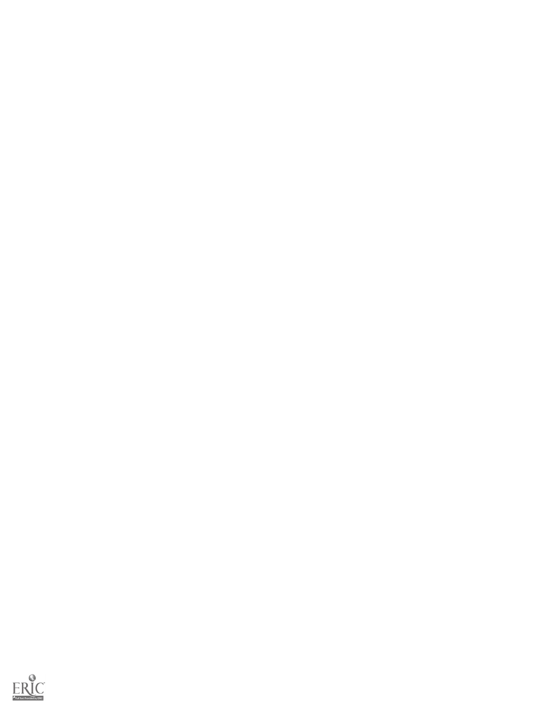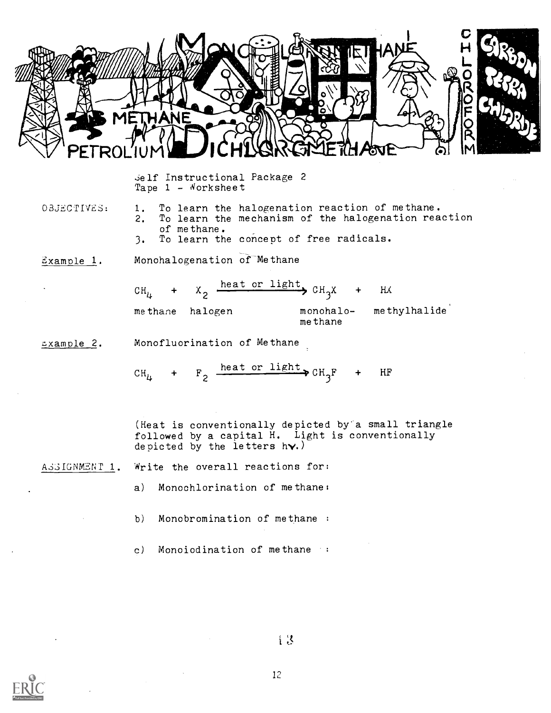

elf Instructional Package 2 Tape  $1 -$  Worksheet

03jECrIVES: 1. To learn the halogenation reaction of methane. 2. To learn the mechanism of the halogenation reaction of methane.

3. To learn the concept of free radicals.

 $Example 1.$  Monohalogenation of Methane

 $CH<sub>H</sub>$  $+$   $x_2$   $X_2$  heat or light,  $CH_3X$  + HX methane halogen monohalo- methylhalide methane

**Example 2.** Monofluorination of Methane

 $+$  F<sub>2</sub>  $-$ CH<sub>4</sub> + F<sub>2</sub>  $\frac{\text{heat or light}}{\text{cm}^3}$  CH<sub>3</sub>F + HF

(Heat is conventionally depicted by a small triangle followed by a capital H. Light is conventionally depicted by the letters  $h\mathbf{v}$ .)

A.S3IGNMENT 1. Write the overall reactions for:

a) Monochlorination of methane:

b) Monobromination of methane :

 $\mathbf{c}$ ) Monoiodination of methane :

3

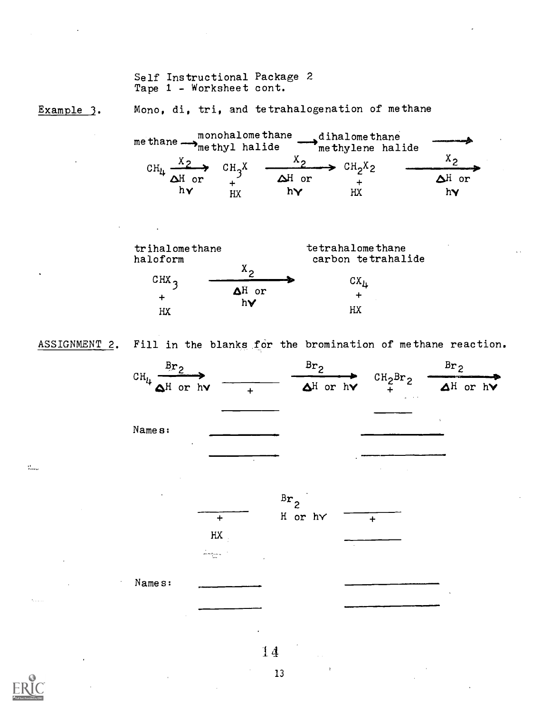Self Instructional Package 2 Tape 1 - Worksheet cont.

Example 3.

Mono, di, tri, and tetrahalogenation of methane





ASSIGNMENT 2.

 $\mathcal{C}_{\text{max}}$ 

Fill in the blanks for the bromination of methane reaction.

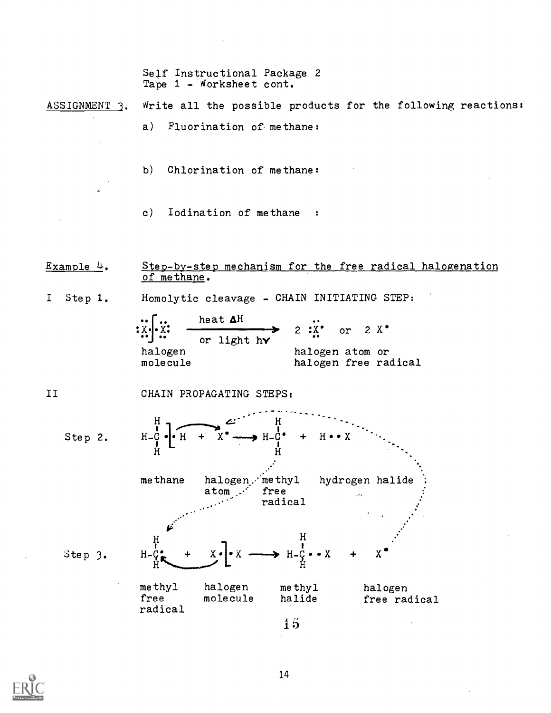Self Instructional Package 2 Tape 1 - Worksheet cont.

ASSIGNMENT 3. Write all the possible products for the following reactions:

- a) Fluorination of methane:
- b) Chlorination of methane:
- c) Iodination of methane

Example  $4.$  Step-by-step mechanism for the free radical halogenation of methane.

<sup>I</sup> Step 1. Homolytic cleavage - CHAIN INITIATING STEP:

heat AH or  $2 X^{\bullet}$ or light hy halogen halogen atom or<br>molecule halogen free ra halogen free radical

II CHAIN PROPAGATING STEPS:



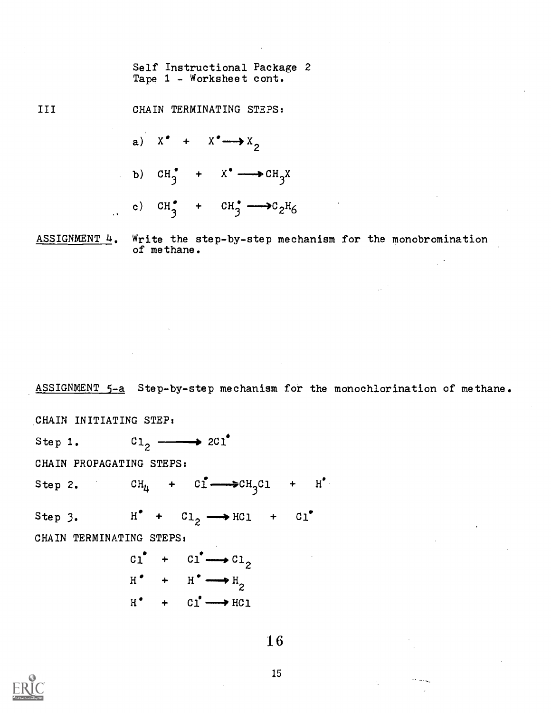Self Instructional Package 2 Tape 1 - Worksheet cont.



III CHAIN TERMINATING STEPS:

- a)  $X^{\bullet}$  +  $X^{\bullet} \longrightarrow X_{2}$ 2
- b)  $CH_3^*$  +  $X^* \longrightarrow CH_3X$
- c)  $CH_2^{\bullet}$  +  $CH_3^{\bullet} \longrightarrow C_2H_6^{\bullet}$ 3 3

 $\overline{\texttt{ASSIGNMENT}}$   $4$ . Write the step-by-step mechanism for the monobromination of methane.

ASSIGNMENT  $5-a$  Step-by-step mechanism for the monochlorination of methane.

CHAIN INITIATING STEP: Step 1.  $C_{1_{2}} \longrightarrow 2C_{1}$ CHAIN PROPAGATING STEPS: Step 2.  $CH_{\mu}$  +  $CI \longrightarrow CH_{3}Cl$  +  $H$ . Step 3.  $H^+ + C1$ <sub>2</sub>  $\longrightarrow$  HCl + Cl<sup> $-$ </sup> CHAIN TERMINATING STEPS:  $c_1$  +  $c_1 \longrightarrow c_{12}$  $H^{\bullet}$  +  $H^{\bullet} \longrightarrow H^{\bullet}$  $H^*$  +  $Cl^* \longrightarrow HCl$ 16

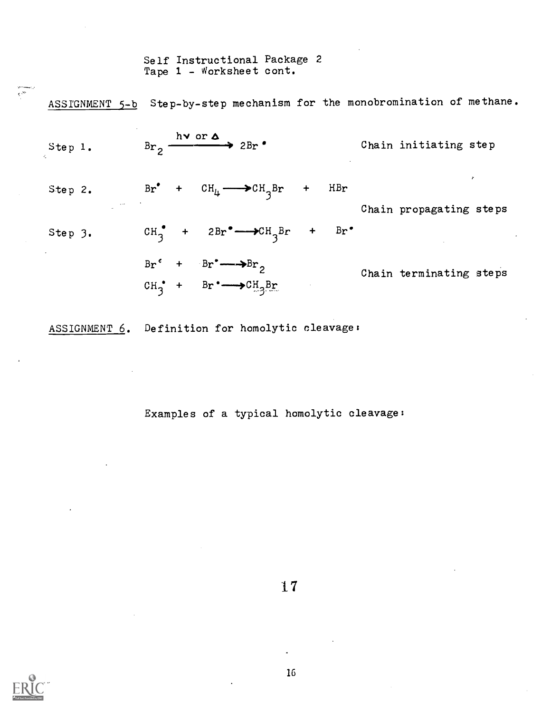ASSIGNMENT  $5-b$  Step-by-step mechanism for the monobromination of methane. Step 1. Step 2. Step 3. hv or  $\Delta$  $Br_2 \longrightarrow 2Br$  $Br^*$  +  $CH_4 \longrightarrow CH_3Br$  +  $HBr$  $CH_3$  +  $2Br^{\bullet} \longrightarrow CH_3Br$  +  $Br + Br^{\bullet}$  $\overline{3}$  $Br^{\circ}$  +  $Br^{\circ} \longrightarrow Br_2$  $CH_3^*$  +  $Br' \longrightarrow CH_3Br$ Chain initiating step Chain propagating steps Chain terminating steps

ASSIGNMENT 6. Definition for homolytic cleavage:

Examples of a typical homolytic cleavage:

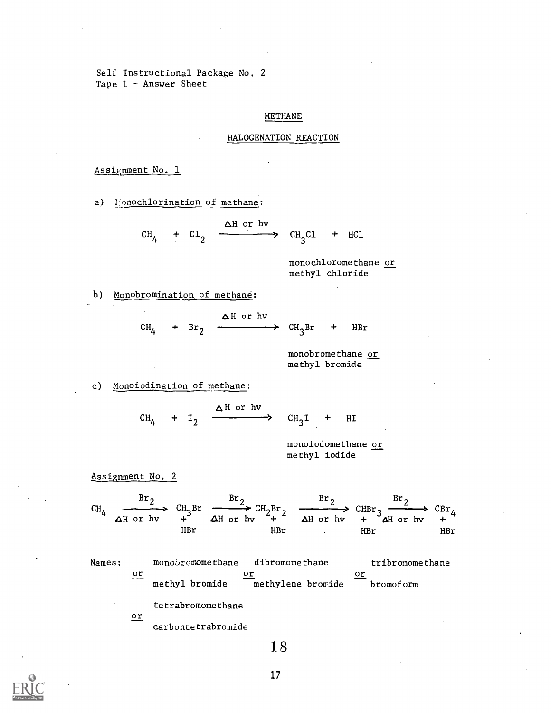Self Instructional Package No. 2 Tape 1 - Answer Sheet

#### METHANE

#### HALOGENATION REACTION

### Assignment No. 1

a) Monochlorination of methane:

AH or hv  $CH<sub>1</sub>$  $4 + C1$ <sub>2</sub>  $\longrightarrow C H_3 C1 + H C1$ 

> monochloromethane or methyl chloride

b) Monobromination of methane:

AH or hv  $CH<sub>A</sub>$  + Br<sub>2</sub>  $2 \longrightarrow CH_3Br + HBr$ 

> monobromethane or methyl bromide

c) Monoiodination of methane:

AH or hv  $CH_4$  +  $I_2$   $\longrightarrow$   $CH_3I$  + HI

> monoiodomethane or methyl iodide

Assignment No. 2

 $Br<sub>2</sub>$  $CH_4$   $\xrightarrow{\text{Br}_2} \text{CH}_3\text{Br}$   $\xrightarrow{\text{Br}_2} \text{CH}_2\text{Br}_2$   $\xrightarrow{\text{Br}_2} \text{CHBr}_3 \xrightarrow{\text{Br}_2} \text{CH}_4$ <br>  $\xrightarrow{\text{Al or hv}}$   $\xrightarrow{\text{Al or hv}}$   $\xrightarrow{\text{CH}_4}$ 4....  $\longleftrightarrow$   $CH_3Br$   $\longrightarrow$ HBr HBr HBr HBr

Names: monobromomethane dibromomethane tribromomethane or or or methyl bromide methylene bromide bromoform

tetrabromomethane

or

carbontetrabromide

1 8

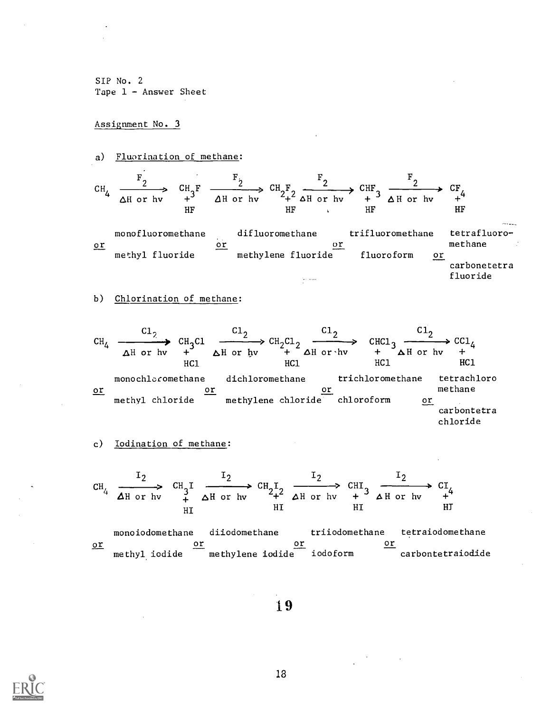### Assignment No. 3

a) Fluorination of methane:



# b) Chlorination of methane:

 $CH_4 \longrightarrow CH_3Cl \longrightarrow CH_2Cl_2 \longrightarrow CH_2Cl_2 \longrightarrow CHCl_3 \longrightarrow CCl_4$  $\Delta H$  or hv  $+$   $\Delta H$  or hv  $+$   $\Delta H$  or $\cdot$ hv  $+$   $\Delta H$  or hv  $+$ HC1 HC1 HC1 HC1 HC1 monochloromethane dichloromethane trichloromethane tetrachloro or methyl chloride or methyl chloride methylene chloride chloroform or methane or carbontetra chloride

# c) Iodination of methane:

 $I_2$   $I_2$   $I_2$   $I_2$   $I_2$  $CH_4 \xrightarrow{\text{I}_2} \text{CH}_3\text{I} \xrightarrow{\text{I}_2} \text{CH}_2\text{I}_2 \xrightarrow{\text{I}_2} \text{CH}_3 \xrightarrow{\text{I}_2} \text{CH}_4$ <sub>HI HI</sub> HI HI HI HI

monoiodomethane diiodomethane triiodomethane tetraiodomethane<br>or or or or or or or methyl iodide methylene iodide iodoform carbontetraiodide

19

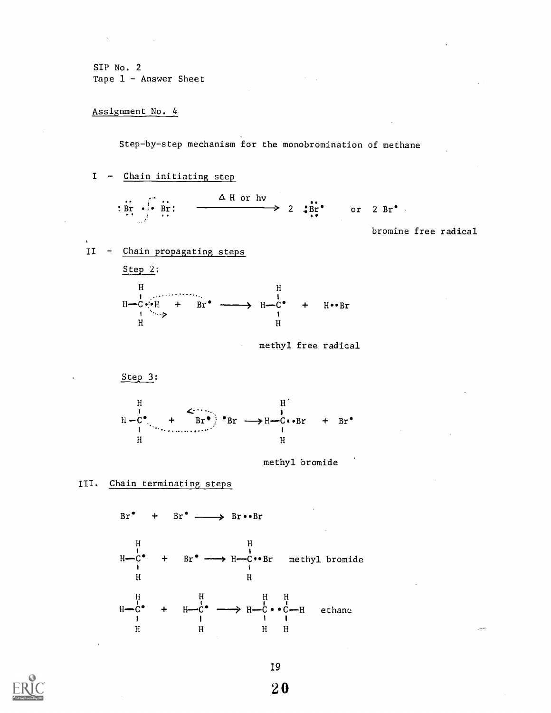### Assignment No. 4

Step-by-step mechanism for the monobromination of methane

I Chain initiating step

 $: \mathbf{Br} \bullet \mathbf{Br} : \longrightarrow$ H or hv  $> 2$  :Br<sup>o</sup> or  $2 \text{ Br}^{\bullet}$ 

bromine free radical

II - Chain propagating steps



methyl free radical

Step 3:



methyl bromide

## III. Chain terminating steps

 $Br^*$  +  $Br^*$  -  $\rightarrow$   $Br\bullet$ Br

 $H \longrightarrow H \longrightarrow H \longrightarrow H \longrightarrow C \longrightarrow H$  methyl bromide<br>
H H H H  $H$  H  $\qquad$  $H \rightarrow C^{\bullet}$  +  $H \rightarrow C^{\bullet}$   $\longrightarrow$   $H \rightarrow C^{\bullet} \bullet C^{\bullet}$  ethanc<br>  $H$  H H H



19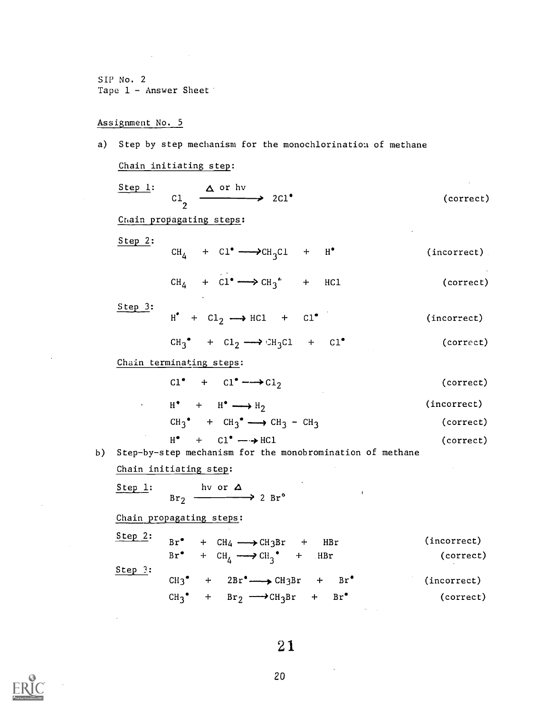$\mathcal{L}^{\text{max}}_{\text{max}}$  and  $\mathcal{L}^{\text{max}}_{\text{max}}$ 

# Assignment No. 5

a) Step by step mechanism for the monochlorination of methane

Chain initiating step:

|    | Step 1:                  | $CL_2 \xrightarrow{\Delta \text{ or hv}} 2CL^{\bullet}$                                | (correct)   |  |  |  |
|----|--------------------------|----------------------------------------------------------------------------------------|-------------|--|--|--|
|    |                          | Chain propagating steps:                                                               |             |  |  |  |
|    | Step 2:                  | $CH_{\Delta}$ + C1 <sup>o</sup> $\longrightarrow CH_{\mathcal{A}}CL$ + H <sup>o</sup>  | (incorrect) |  |  |  |
|    |                          | $CH_4$ + $Cl^{\bullet} \longrightarrow CH_3^{\bullet}$ +<br>HCl                        | (correct)   |  |  |  |
|    | Step 3:                  | $H^{\bullet}$ + C1 <sub>2</sub> $\longrightarrow$ HC1 + C1 <sup>o</sup>                | (incorrect) |  |  |  |
|    |                          | $CH_3^{\bullet}$ + $Cl_2 \longrightarrow CH_3Cl$ + $Cl^{\bullet}$                      | (correct)   |  |  |  |
|    |                          | Chain terminating steps:                                                               |             |  |  |  |
|    |                          | $Cl^{\bullet}$ + $Cl^{\bullet}$ - $Cl_2$                                               | (correct)   |  |  |  |
|    |                          | $\cdot$ $H^{\bullet}$ + $H^{\bullet}$ $\longrightarrow H_2$                            | (incorrect) |  |  |  |
|    |                          | $CH_3^{\bullet}$ + $CH_3^{\bullet}$ $\longrightarrow CH_3$ - $CH_3$                    | (correct)   |  |  |  |
|    |                          | $H^{\bullet}$ + $Cl^{\bullet}$ - $\rightarrow$ HCl                                     | (correct)   |  |  |  |
| b) |                          | Step-by-step mechanism for the monobromination of methane                              |             |  |  |  |
|    |                          | Chain initiating step:                                                                 |             |  |  |  |
|    | Step 1:                  | $\begin{array}{ccc}\n & \text{hv} \text{ or } \Delta \\ \end{array}$ 2 Br <sup>o</sup> |             |  |  |  |
|    | Chain propagating steps: |                                                                                        |             |  |  |  |
|    | Step 2:                  | $Br^{\bullet}$ + $CH_4 \longrightarrow CH_3Br$ +<br>HBr                                | (incorrect) |  |  |  |
|    |                          | $Br^{\bullet}$ + $CH_{A} \longrightarrow CH_{3}^{\bullet}$ + HBr                       | (correct)   |  |  |  |
|    | Step $3:$                | $CH3^{\bullet}$ + $2Br^{\bullet} \longrightarrow CH3Br$ + $Br^{\bullet}$               | (incorrect) |  |  |  |
|    |                          | $CH_3^{\bullet}$ + $Br_2 \longrightarrow CH_3Br$ + $Br^{\bullet}$                      | (correct)   |  |  |  |

 $\bar{z}$ 

 $\bar{z}$ 

 $\sim$ 

21

 $\sim$   $\mu$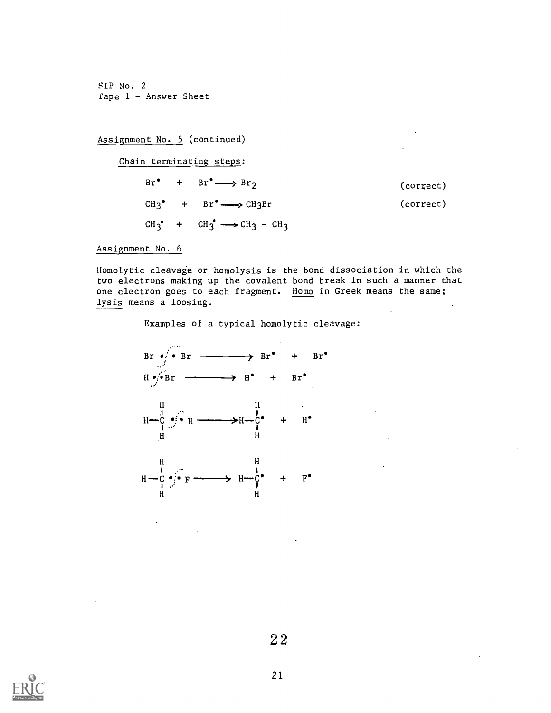Assignment No. 5 (continued)

Chain terminating steps:

 $Br^{\bullet}$  +  $Br^{\bullet} \longrightarrow Br_2$  (correct)  $CH_3^{\bullet}$  +  $Br^{\bullet} \longrightarrow CH_3Br$  (correct)  $CH_3^{\bullet}$  +  $CH_3^{\bullet} \longrightarrow CH_3$  -  $CH_3$ 

Assignment No. 6

Homolytic cleavage or homolysis is the bond dissociation in which the two electrons making up the covalent bond break in such a manner that one electron goes to each fragment. Homo in Greek means the same; lysis means a loosing.

Examples of a typical homolytic cleavage:



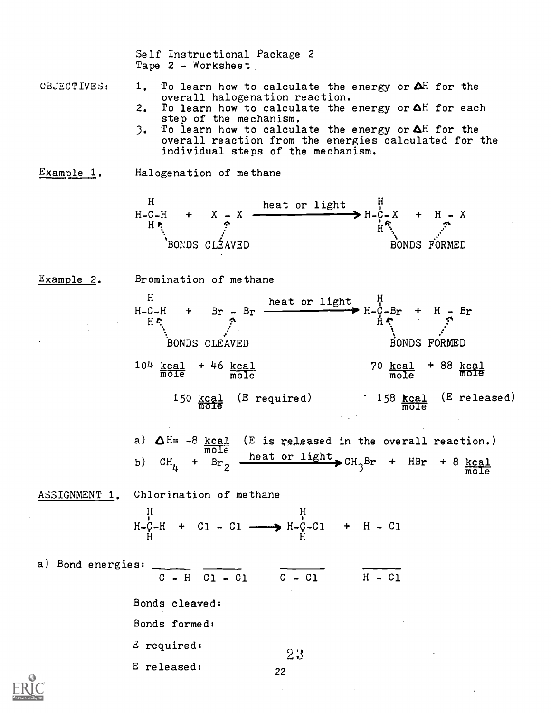Self Instructional Package 2 Tape 2 - Worksheet

- OBJECTIVES: 1. To learn how to calculate the energy or  $\Delta H$  for the overall halogenation reaction.
	- 2. To learn how to calculate the energy or  $\Delta H$  for each step of the mechanism.
	- 3. To learn how to calculate the energy or  $\Delta$ H for the overall reaction from the energies calculated for the individual steps of the mechanism.
- Example 1. Halogenation of methane



Example 2. Bromination of methane



b) 
$$
CH_{\mu} + {}^{mole}_{Br} 2 \xrightarrow{heat or light} CH_{3}Br + HBr + 8 \underline{kcal} \over mole}
$$

ASSIGNMENT 1. Chlorination of methane

E released:

$$
H - C - H + C1 - C1 \longrightarrow H - C - C1 + H - C1
$$
  
H

a) Bond energies:  $C - H$   $C1 - C1$   $C - C1$   $H - C1$ Bonds cleaved: Bonds formed: E required: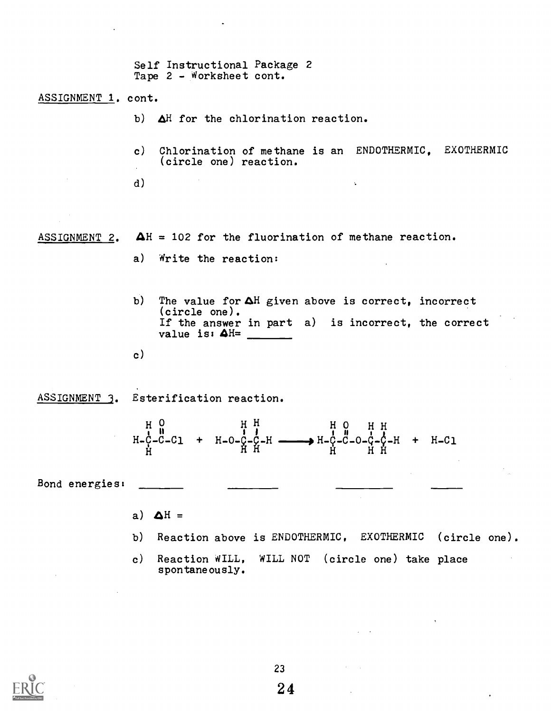Self Instructional Package 2 Tape 2 - Worksheet cont.

ASSIGNMENT 1, cont.

- b)  $\Delta$ H for the chlorination reaction.
- c) Chlorination of methane is an ENDOTHERMIC, EXOTHERMIC (circle one) reaction.
- d)

ASSIGNMENT 2.  $\Delta H = 102$  for the fluorination of methane reaction.

- a) Write the reaction:
- b) The value for  $\Delta H$  given above is correct, incorrect (circle one). If the answer in part a) is incorrect, the correct value is:  $\Delta H =$
- c)

ASSIGNMENT 3. Esterification reaction.

 $H_0$  H  $H_1$  H  $H_0$  H  $H_1$  H  $H_2$  H  $H_3$  H  $H_4$  H  $H_5$  H  $H_6$  H  $H_7$  H  $H_8$  H  $H_9$  H  $H_1$ H-C-C-C1 + H-O-C-C-H - D-BH-C-C-O-C-C-C-H + H-Cl H H

Bond energies:

- a)  $\Delta H =$
- b) Reaction above is ENDOTHERMIC, EXOTHERMIC (circle one).
- c) Reaction WILL, WILL NOT (circle one) take place spontaneously.

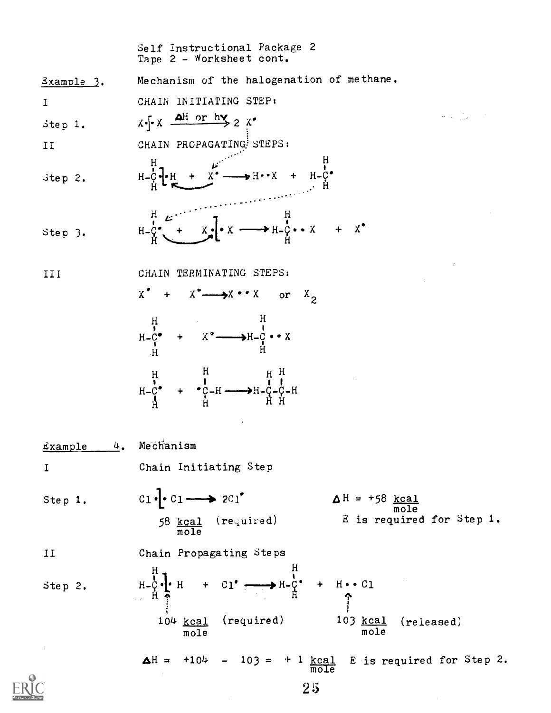|                      | Self Instructional Package 2<br>Tape 2 - Worksheet cont.                                                                                                         |
|----------------------|------------------------------------------------------------------------------------------------------------------------------------------------------------------|
| Example 3.           | Mechanism of the halogenation of methane.                                                                                                                        |
| $\mathbf I$          | CHAIN INITIATING STEP:                                                                                                                                           |
| Step 1.              | $x - x$ $\xrightarrow{\Delta H} \text{or } h \times z$                                                                                                           |
| II                   | CHAIN PROPAGATING: STEPS:                                                                                                                                        |
|                      |                                                                                                                                                                  |
| Step 2.              | $H - C$<br>$H - C$<br>$H - C$<br>$H - C$<br>$H - C$<br>$H - C$<br>$H - C$<br><br>$H - C$<br><br><br><br><br><br><br><br><br><br><br><br><br><br><br><br><br><br> |
| Step 3.              | $H-\frac{C}{C}$ + $X-\frac{C}{C}$ + $X-\frac{C}{C}$ + $X-\frac{C}{C}$ + $X$ + $X^*$                                                                              |
| III                  | CHAIN TERMINATING STEPS:                                                                                                                                         |
|                      | $X^*$ + $X^*$ $\longrightarrow$ $X^*$ or $X^2$                                                                                                                   |
|                      | $H \rightarrow$<br>$H-C^{\bullet}$ + $X^{\bullet}$ $\longrightarrow H-C^{\bullet}$ + $X$                                                                         |
|                      | $H \rightarrow H-C^* + \rightarrow H-C-C-H \rightarrow H-C-C-H$<br>$H \rightarrow H-C-C-H \rightarrow H-C-C-H$                                                   |
| <u>Example</u><br>4. | Mechanism                                                                                                                                                        |
| I                    | Chain Initiating Step                                                                                                                                            |
| Step $1.$            | $c_1 \cdot c_1 \longrightarrow c_1'$<br>$\Delta$ H = +58 $\frac{kcal}{mole}$                                                                                     |
|                      | E is required for Step 1.<br>58 $kcal$ (required)                                                                                                                |
| $\mathbf{I}$         | Chain Propagating Steps                                                                                                                                          |
| Step 2.              | $H = \frac{H}{C}$<br>$H = \frac{1}{C}$ $H + C1$ $H = \frac{H}{C}$ $H + H \cdot C1$                                                                               |
|                      | $103$ $kcal$<br>104 kcal (required)<br>(released)<br>mole<br>mole                                                                                                |
|                      | $\Delta H = +104 - 103 = + 1 \frac{\text{kcal}}{\text{mole}}$ E is required for Step 2.                                                                          |
|                      | のに                                                                                                                                                               |

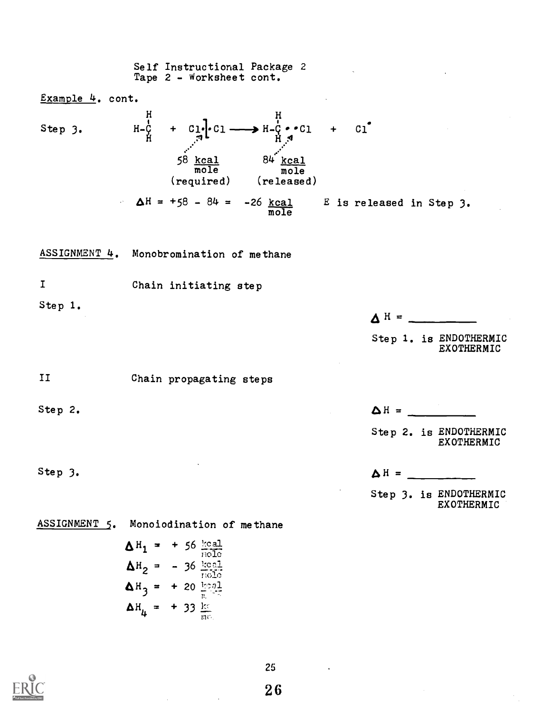Self Instructional Package 2 Tape 2 - Worksheet cont. Example 4. cont. Step 3. <sup>+</sup> Gl Cl. ft H 1 58 kcal 84 kcal mole mole (required) (released) +58 - 84 = -26 kcal E is released in Step 3. mole ASSIGNMENT 4. Monobromination of methane Chain initiating step Step 1. = Step 1. is ENDOTHERMIC EXOTHERMIC II Chain propagating steps Step 2. AH = Step 2. is ENDOTHERMIC EXOTHERMIC Step 3. ASSIGNMENT 5, Monoiodination of methane 6 Hi + <sup>56</sup> cal iTolo AH2 36 1:cal 4H 3 + <sup>20</sup> 131 AH4 1- 33 AH = Step 3. is ENDOTHERMIC EXOTHERMIC



25

2 6

 $\overline{a}$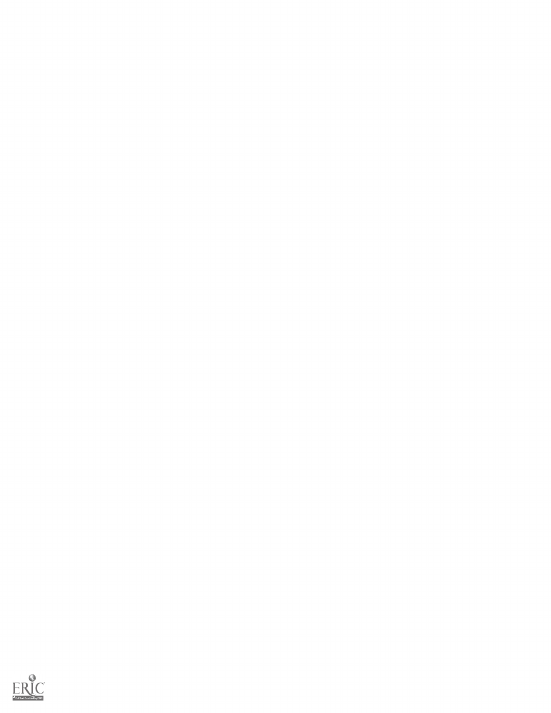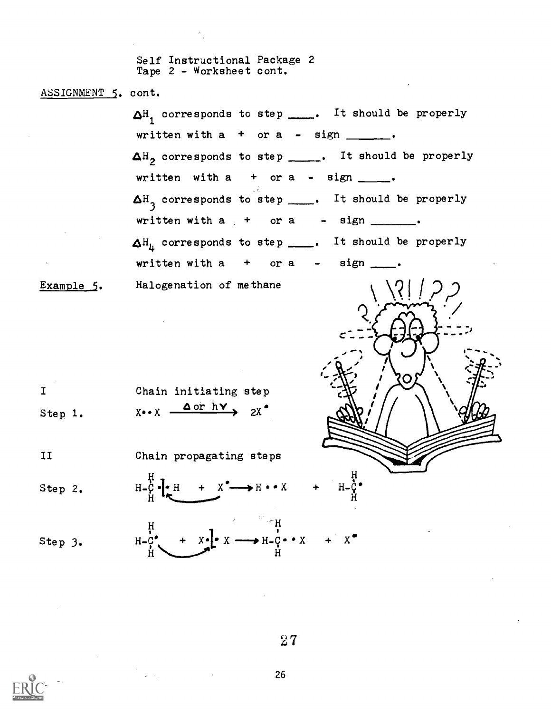Self Instructional Package 2 Tape 2 - Worksheet cont, ASSIGNMENT 5. cont.  $\mathsf{\Delta H}_1$  corresponds to step ........... It should be properly written with  $a$  + or  $a$  -  $sign$  \_\_\_\_\_\_\_.  $\Delta$ H<sub>2</sub> corresponds to step \_\_\_\_\_\_. It should be properly written with a + or a - sign  $\Delta^\mathrm{H}_{\phantom{H}3}$  correspon corresponds to step \_\_\_\_\_. It should be properly written with a st or a state or sign when  $\sim$  $\blacktriangle^{\text{H}}{}_{\text{L}}$  corresponds to step \_\_\_\_\_. It should be properly written with a or  $a -$  sign  $\overline{\phantom{a}}$ Example 5. Halogenation of methane  $\mathbf I$ Chain initiating step  $X \rightarrow X$   $\longrightarrow$  2X. Step 1. Chain propagating steps II Step 2.  $H - C$   $\bullet$   $\bullet$   $H$  +  $X$   $\longrightarrow$   $H$   $\bullet$   $\bullet$   $X$  +  $H \sim$  $H$  and  $H$  and  $H$  and  $H$  and  $H$  and  $H$  and  $H$  and  $H$  and  $H$  and  $H$  and  $H$  and  $H$  and  $H$  and  $H$  and  $H$  and  $H$  and  $H$  and  $H$  and  $H$  and  $H$  and  $H$  and  $H$  and  $H$  and  $H$  and  $H$  and  $H$  and  $H$  and  $H$  a  $H - C$ ,  $H - K$   $Y = X$   $X \longrightarrow H - C - K$   $X \longrightarrow K$ Step 3.

2 7

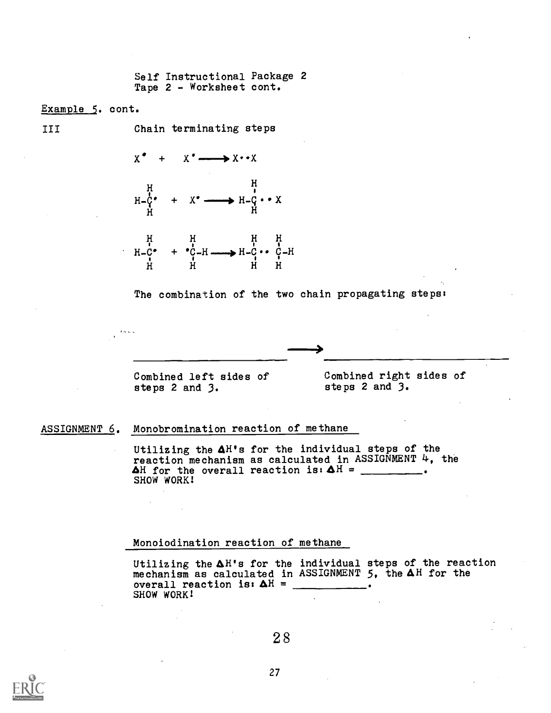Self Instructional Package 2 Tape 2 - Worksheet cont.

# Example 5. cont.

**Links** 

III Chain terminating steps





The combination of the two chain propagating steps:

 $\longrightarrow$ 



# ASSIGNMENT 6. Monobromination reaction of methane

Utilizing the AH's for the individual steps of the reaction mechanism as calculated in ASSIGNMENT 4, the  $\Delta$ H for the overall reaction is:  $\Delta$ H = \_\_\_\_\_\_\_ SHOW WORK!

# Monoiodination reaction of methane

Utilizing the  $\Delta H$ 's for the individual steps of the reaction mechanism as calculated in ASSIGNMENT 5, the AH for the overall reaction is:  $\Delta H =$ SHOW WORK!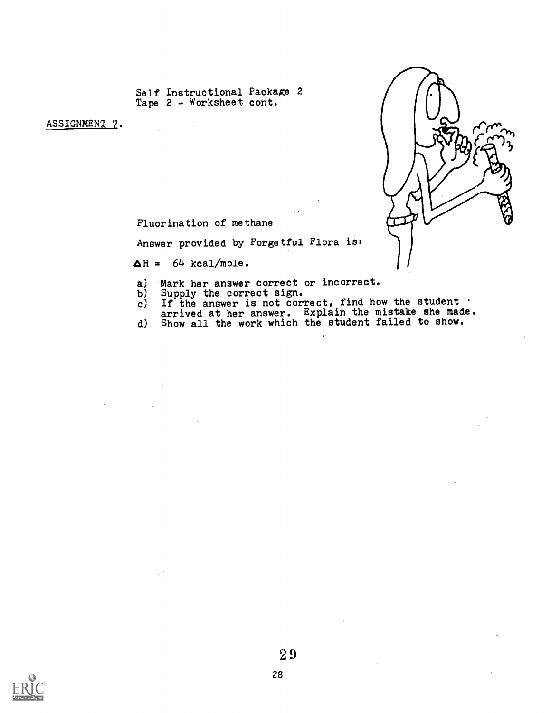Self Instructional Package 2 Tape 2 - Worksheet cont.

ASSIGNMENT 7.



Fluorination of methane

Answer provided by Forgetful Flora is:

 $\Delta H = 64$  kcal/mole.

- a) Mark her answer correct or incorrect.<br>b) Supply the correct sign.
- b) Supply the correct sign.
- c) If the answer is not correct, find how the student .
- arrived at her answer. Explain the mistake she made.
- d) Show all the work which the student failed to show.

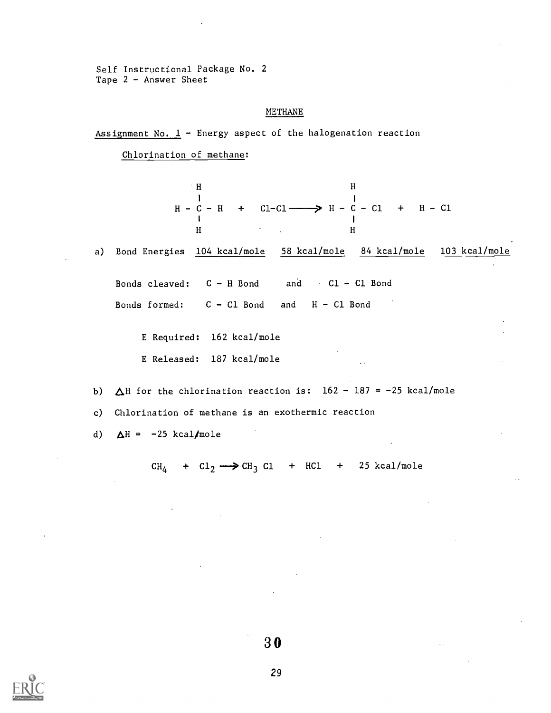Self Instructional Package No. 2 Tape 2 - Answer Sheet

#### METHANE

Assignment No.  $1$  - Energy aspect of the halogenation reaction

Chlorination of methane:

H - C - H + Cl -C1 H - C - Cl + H - Cl

a) Bond Energies 104 kcal/mole 58 kcal/mole 84 kcal/mole 103 kcal/mole

Bonds cleaved:  $C - H$  Bond and  $CL - CL$  Bond

Bonds formed: C - Cl Bond and H - Cl Bond

E Required: 162 kcal/mole

E Released: 187 kcal/mole

b)  $\triangle$ H for the chlorination reaction is:  $162 - 187 = -25$  kcal/mole

c) Chlorination of methane is an exothermic reaction

d)  $\Delta H = -25$  kcal/mole

 $CH<sub>A</sub>$  +  $Cl<sub>2</sub>$   $\longrightarrow$   $CH<sub>3</sub>$  Cl + HCl + 25 kcal/mole

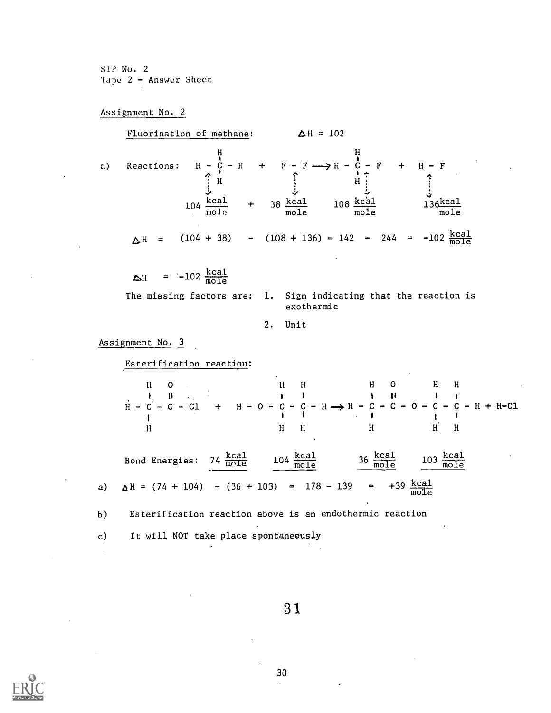Assignment No. 2

Fluorination of methane:  $\Delta H = 102$ a) Reactions:  $H - C - H + F - F \longrightarrow H - C - F + H - F$  $104 \frac{\text{kcal}}{\text{mole}}$  + 38  $\frac{\text{kcal}}{\text{mole}}$  108  $\frac{\text{kcal}}{\text{mole}}$  136  $\frac{\text{kcal}}{\text{mole}}$  $=$  (104 + 38) - (108 + 136) = 142 - 244 = -102  $\frac{kca1}{mofe}$  $\Delta H = -102 \frac{\text{kcal}}{\text{mole}}$ The missing factors are: 1. Sign indicating that the reaction is exothermic 2. Unit Assignment No. 3 Esterification reaction: H 0 H H H 0 H H  $\frac{1}{2}$   $\frac{1}{2}$   $\frac{1}{2}$   $\frac{1}{2}$   $\frac{1}{2}$   $\frac{1}{2}$   $\frac{1}{2}$   $\frac{1}{2}$   $\frac{1}{2}$   $\frac{1}{2}$   $\frac{1}{2}$   $\frac{1}{2}$   $\frac{1}{2}$   $\frac{1}{2}$   $\frac{1}{2}$   $\frac{1}{2}$   $\frac{1}{2}$   $\frac{1}{2}$   $\frac{1}{2}$   $\frac{1}{2}$   $\frac{1}{2}$   $\frac{1}{2}$  I <sup>I</sup> <sup>I</sup> <sup>I</sup> I <sup>1</sup>  $H$  H  $H$  H  $H$  H  $H$  H  $H$ Bond Energies:  $74 \frac{\text{kcal}}{\text{mofle}}$  104  $\frac{\text{kcal}}{\text{mole}}$  36  $\frac{\text{kcal}}{\text{mole}}$  103  $\frac{\text{kcal}}{\text{mole}}$  $104 \frac{\text{kcal}}{\text{mole}}$ a)  $\Delta H = (74 + 104) - (36 + 103) = 178 - 139 =$  $+39 \frac{\text{kcal}}{\text{mole}}$ b) Esterification reaction above is an endothermic reaction c) It will NOT take place spontaneously

3 1



 $\bar{z}$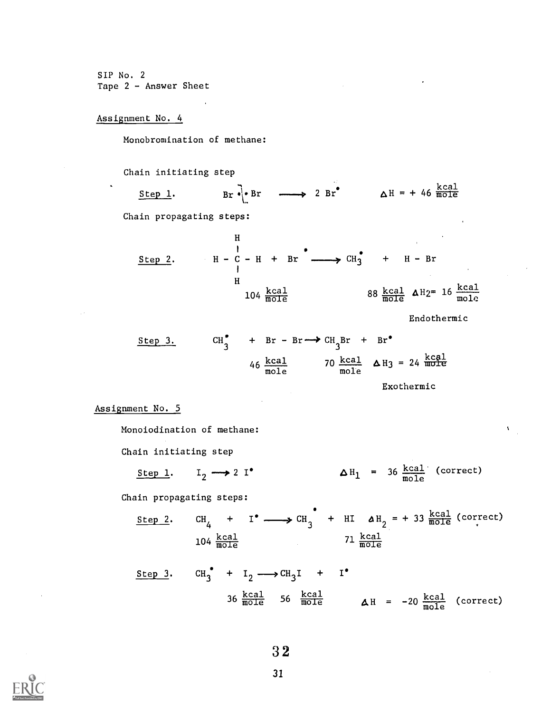Assignment No. 4

Monobromination of methane:

Chain initiating step

Step 1.  $Br \rightarrow Br$  2 Br<sup>o</sup>  $\Delta H = +46 \frac{\text{kcal}}{\text{mole}}$ 

Chain propagating steps:

| H                                     |                                                |                                               |                                                      |
|---------------------------------------|------------------------------------------------|-----------------------------------------------|------------------------------------------------------|
| \n        Step 2. $H - C - H + Br$ \n | \n        H - C - H + Br                       |                                               |                                                      |
| \n        H                           | \n        104 \n $\frac{kca1}{\text{mole}}$ \n | \n        88 \n $\frac{kca1}{\text{mole}}$ \n | \n        A H2 = 16 \n $\frac{kca1}{\text{mole}}$ \n |

Endothermic

 $\mathbf{v}$ 

| Step 3.                              | CH <sub>3</sub> <sup>*</sup>         | Br - Br $\rightarrow$ CH <sub>3</sub> Br + Br <sup>*</sup> |
|--------------------------------------|--------------------------------------|------------------------------------------------------------|
| 46 $\frac{\text{kcal}}{\text{mole}}$ | 70 $\frac{\text{kcal}}{\text{mole}}$ | $\Delta H_3 = 24 \frac{\text{kcal}}{\text{mole}}$          |
| Exothermic                           |                                      |                                                            |

# Assignment No. 5

Monoiodination of methane:

Chain initiating step

Step 1. 
$$
I_2 \rightarrow 2 I^{\bullet}
$$
  $\Delta H_1 = 36 \frac{kcal}{mole}$  (correct)

Chain propagating steps:

| Step 2.                               | CH <sub>4</sub>                      | $\text{I}^{\bullet}$ | $\text{CH}_3^{\bullet}$ | $\text{HI}$ | $\text{a H}_2 = +33 \frac{\text{kcal}}{\text{mole}}$ (correct) |
|---------------------------------------|--------------------------------------|----------------------|-------------------------|-------------|----------------------------------------------------------------|
| 104 $\frac{\text{kcal}}{\text{mole}}$ | 71 $\frac{\text{kcal}}{\text{mole}}$ |                      |                         |             |                                                                |

Step 3. CH<sub>3</sub><sup>•</sup> + I<sub>2</sub> 
$$
\longrightarrow
$$
 CH<sub>3</sub>I + I<sup>•</sup>  
36  $\frac{kcal}{mole}$  56  $\frac{kcal}{mole}$   $\Delta H = -20 \frac{kcal}{mole}$  (correct)

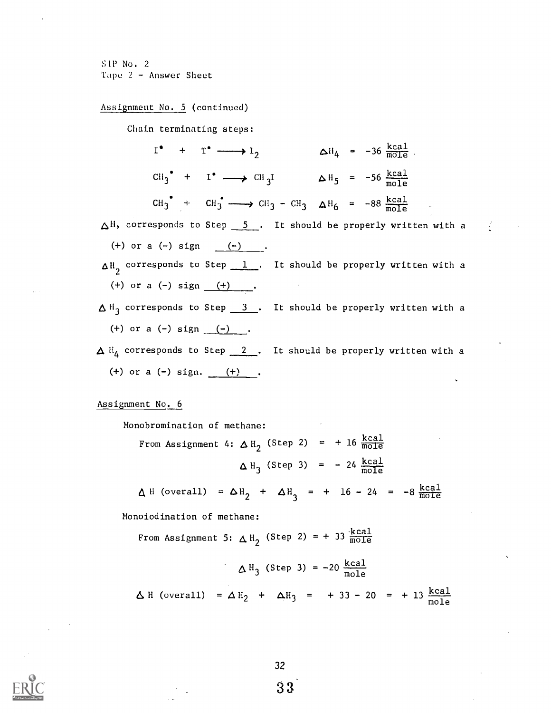# Assignment No. 5 (continued)

Chain terminating steps:

 $I^{\bullet}$  +  $T^{\bullet}$   $\longrightarrow$   $I_2$ CH<sub>3</sub><sup>\*</sup> + I<sup>\*</sup>  $\longrightarrow$  CH<sub>3</sub><sup>I</sup>  $\longrightarrow$   $\longrightarrow$  H<sub>5</sub> = -56  $\frac{\text{kcal}}{\text{mole}}$  $\Delta H_4$  = -36  $\frac{\text{kcal}}{\text{mole}}$ .  $CH_3$ <sup>\*</sup> +  $CH_3$ <sup>\*</sup>  $\longrightarrow CH_3$  -  $CH_3$   $\Delta H_6$  = -88  $\frac{\text{kcal}}{\text{mole}}$  $\Delta$ H, corresponds to Step  $\frac{5}{2}$ . It should be properly written with a (+) or a  $(-)$  sign  $(-)$  .  $\Delta H_{2}$  corresponds to Step  $\_\_1$ . It should be properly written with a (+) or a  $(-)$  sign  $(+)$ .  $\Delta H_3$  corresponds to Step  $\frac{3}{2}$ . It should be properly written with a  $(+)$  or a  $(-)$  sign  $(-)$ .  $\Delta$  H<sub>4</sub> corresponds to Step 2. It should be properly written with a (+) or a  $(-)$  sign.  $(+)$ .

### Assignment No. 6

Monobromination of methane:

From Assignment 4:  $\Delta$ H<sub>2</sub> (Step 2) = + 16  $\frac{\text{kcal}}{\text{mode}}$  $H_3$  (Step 3) = - 24  $\frac{kca1}{mole}$ 

 $\Delta$  H (overall) =  $\Delta$ H<sub>2</sub> +  $\Delta$ H<sub>3</sub> = + 16 - 24 = -8  $\frac{\text{kcal}}{\text{mole}}$ 

Monoiodination of methane:

From Assignment 5:  $\Delta H_2$  (Step 2) = + 33  $\frac{\text{kcal}}{\text{mole}}$ 

$$
\Delta H_3 \text{ (Step 3)} = -20 \frac{\text{kcal}}{\text{mole}}
$$
  
 
$$
\Delta H \text{ (overall)} = \Delta H_2 + \Delta H_3 = +33 - 20 = +13 \frac{\text{kcal}}{\text{mole}}
$$



32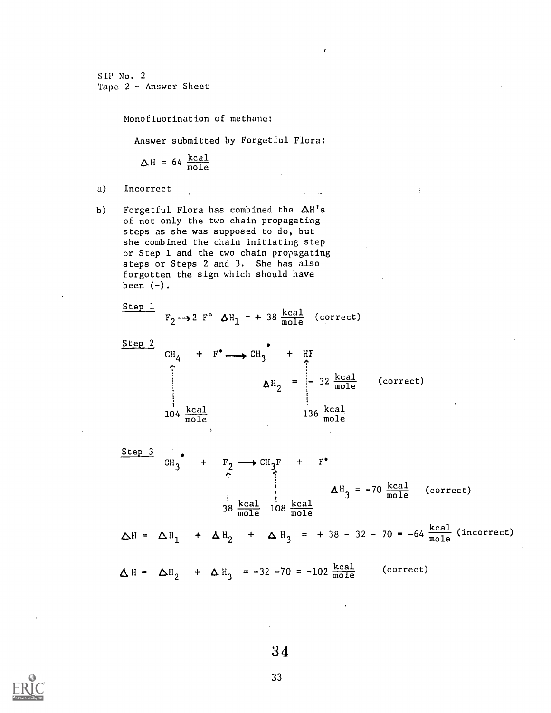Monofluorination of methane:

Answer submitted by Forgetful Flora:

 $\Delta H = 64 \frac{\text{kcal}}{\text{mole}}$ 

- a) Incorrect
- b) Forgetful Flora has combined the  $\Delta H's$ of not only the two chain propagating steps as she was supposed to do, but she combined the chain initiating step or Step 1 and the two chain propagating steps or Steps 2 and 3. She has also forgotten the sign which should have been  $(-)$ .

Step 1 
$$
F_2 \rightarrow 2 F^{\circ} \Delta H_1 = + 38 \frac{\text{kcal}}{\text{mole}}
$$
 (correct)

| Step 2                                                                                    | CH <sub>4</sub>                      | + | F <sup>•</sup> $\longrightarrow$ CH <sub>3</sub> <sup>•</sup> | HF |
|-------------------------------------------------------------------------------------------|--------------------------------------|---|---------------------------------------------------------------|----|
| \n $\Delta H_2 = \begin{vmatrix}\n \frac{kcal}{mole} & \text{correct}\n \end{vmatrix}$ \n | \n        (correct)\n                |   |                                                               |    |
| \n $104 \frac{kcal}{mole}$ \n                                                             | \n        136 $\frac{kcal}{mole}$ \n |   |                                                               |    |

| Step 3                                                                                                                   | +                                                  | $F_2 \longrightarrow CH_3F$ | + | $F^*$ |
|--------------------------------------------------------------------------------------------------------------------------|----------------------------------------------------|-----------------------------|---|-------|
| \n $\begin{pmatrix}\n \vdots \\  \vdots \\  \vdots \\  \vdots \\  \vdots \\  \vdots \\  38 \text{ }\frac{kcal}{mole}$ \n | \n $\Delta H_3 = -70 \text{ }\frac{kcal}{mole}$ \n | \n $\text{correct}$ \n      |   |       |
| \n $\Delta H = \Delta H_1 + \Delta H_2 + \Delta H_3 = +38 - 32 - 70 = -64 \text{ }\frac{kcal}{mole}$ \n                  | \n $\text{(incorrect)}$ \n                         |                             |   |       |
| \n $\Delta H = \Delta H_2 + \Delta H_3 = -32 - 70 = -102 \text{ }\frac{kcal}{mole}$ \n                                   | \n $\text{(correct)}$ \n                           |                             |   |       |

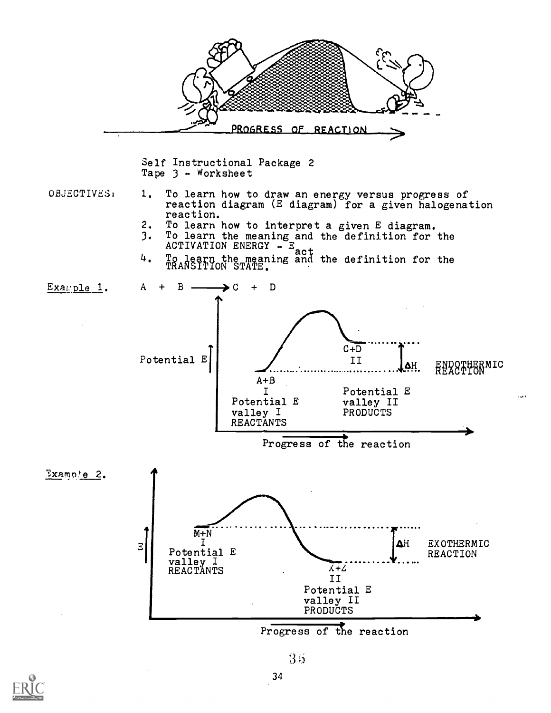

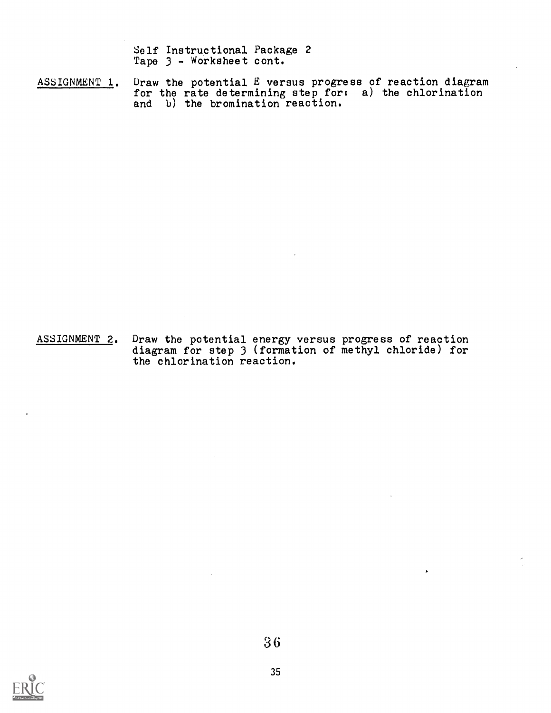Self Instructional Package 2 Tape 3 - Worksheet cont.

 $\overline{\texttt{ASSIGNMENT\_1}}$ . Draw the potential E versus progress of reaction diagram for the rate determining step fort a) the chlorination and b) the bromination reaction.

ASSIGNMENT 2. Draw the potential energy versus progress of reaction diagram for step 3 (formation of methyl chloride) for the chlorination reaction.

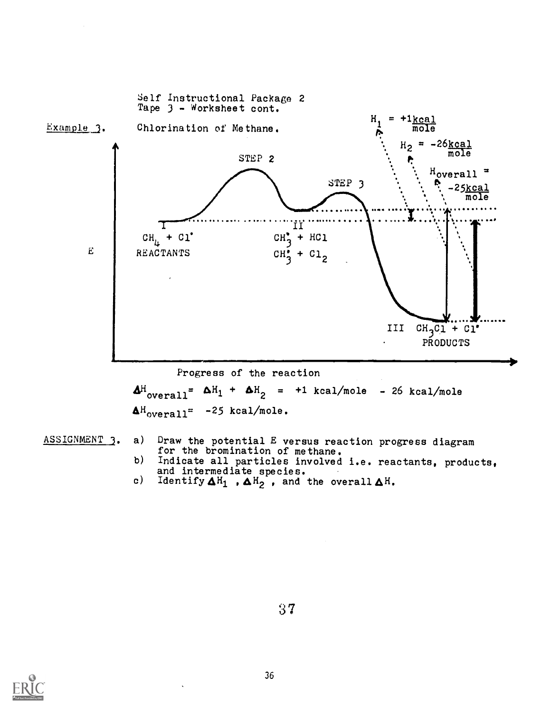

- for the bromination of methane.
	- b) Indicate all particles involved i.e. reactants, products, and intermediate species.
	- c) Identify  $\mathbf{\Delta} \text{H}_1$  ,  $\mathbf{\Delta} \text{H}_2$  , and the overall  $\mathbf{\Delta} \text{H}_1$ .

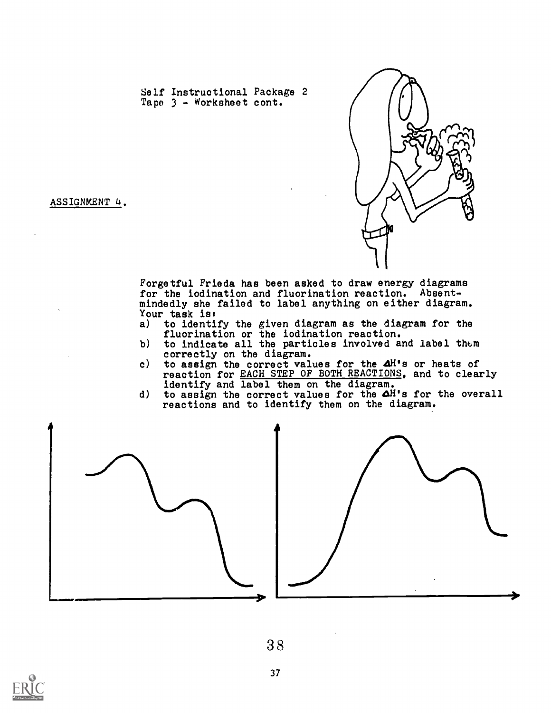Self Instructional Package 2 Tape 3 - Worksheet cont.



ASSIGNMENT 4,

Forgetful Frieda has been asked to draw energy diagrams for the iodination and fluorination reaction. Absentmindedly she failed to label anything on either diagram. Your task is:<br>a) to identi

- to identify the given diagram as the diagram for the fluorination or the iodination reaction.
- b) to indicate all the particles involved and label thbm correctly on the diagram.
- c) to assign the correct values for the  $4H's$  or heats of reaction for EACH STEP OF BOTH REACTIONS, and to clearly identify and label them on the diagram.
- d) to assign the correct values for the  $\Delta$ H's for the overall reactions and to identify them on the diagram.





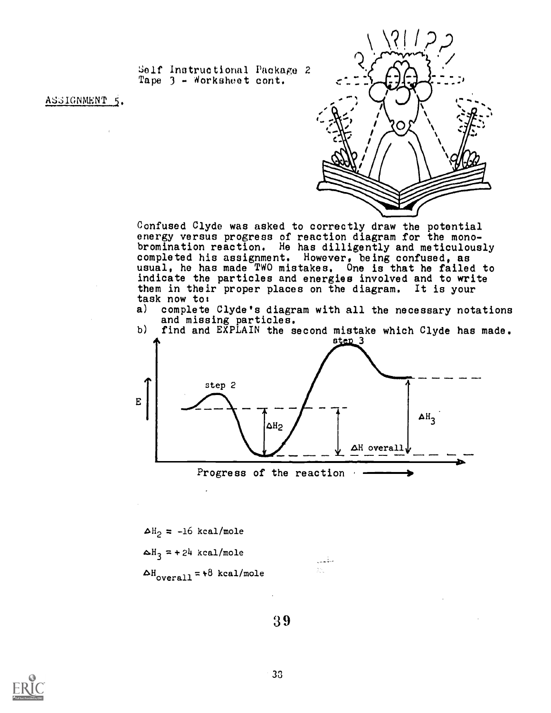Self Instructional Package 2 Tape 3 - Worksheet cont.

ASSIGNMENT 5.

Confused Clyde was asked to correctly draw the potential energy versus progress of reaction diagram for the mono-<br>bromination reaction. He has dilligently and meticulously<br>completed his assignment. However, being confused, as<br>usual, he has made TWO mistakes. One is that he faile indicate the particles and energies involved and to write them in their proper places on the diagram. It is your task now to:

complete Clyde's diagram with all the necessary notations  $a)$ and missing particles.

find and EXPLAIN the second mistake which Clyde has made. b)

> ستأسس  $\mathcal{I}_{\alpha,\alpha}^{(n)}$  .



Progress of the reaction

 $\Delta H_2 = -16$  kcal/mole  $\Delta H_3$  = +24 kcal/mole  $\Delta H_{\text{overall}} = +8$  kcal/mole

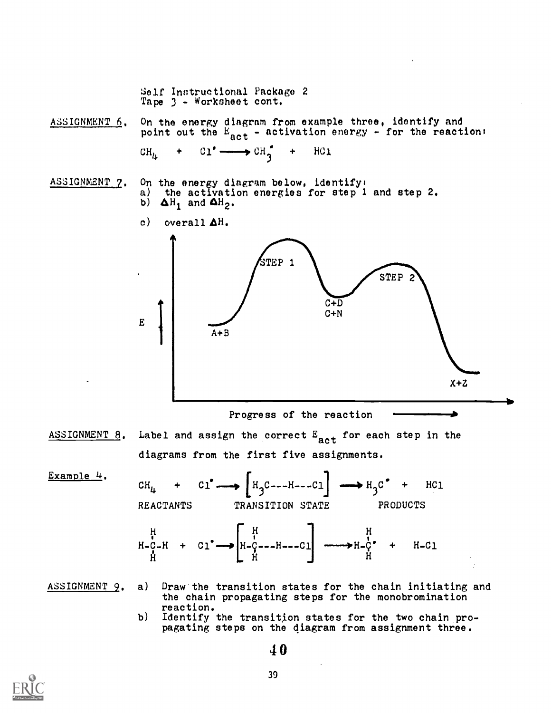Self Instructional Package 2 Tape 3 . Worksheet cont.

 $ASSICNMENT_6$ . On the energy diagram from example three, identify and point out the  $E_{\text{act}}$  - activation energy - for the reaction!

$$
CH_{\mu} + Cl^* \longrightarrow CH^{\bullet} \longrightarrow HCl
$$

ASSIGNMENT 7. On the energy diagram below, identify: a) the activation energies for step 1 and step 2. b)  $\Delta H_1$  and  $\Delta H_2$ .

c) overall  $\Delta$ H.





ASSIGNMENT 8. Label and assign the correct  $E_{act}$  for each step in the diagrams from the first five assignments.

 $\frac{Example 4}{CH_{1}}$ .  $CH_{\mu}$  +  $Cl^{\bullet} \longrightarrow \left[ H_3C^{--}H^{--}Cl \right] \longrightarrow H_3C^{\bullet}$  + HCl REACTANTS TRANSITION STATE PRODUCTS  $H-\dot{C}-H$  +  $C1$   $\longrightarrow$   $H-\dot{C}$  --- $H$  -- $C1$   $\longrightarrow$   $H-\dot{C}$  +  $H-C1$  $\mathbf{H}$ 

ASSIGNMENT 9. a) Draw the transition states for the chain initiating and the chain propagating steps for the monobromination reaction.

b) Identify the transition states for the two chain propagating steps on the diagram from assignment three.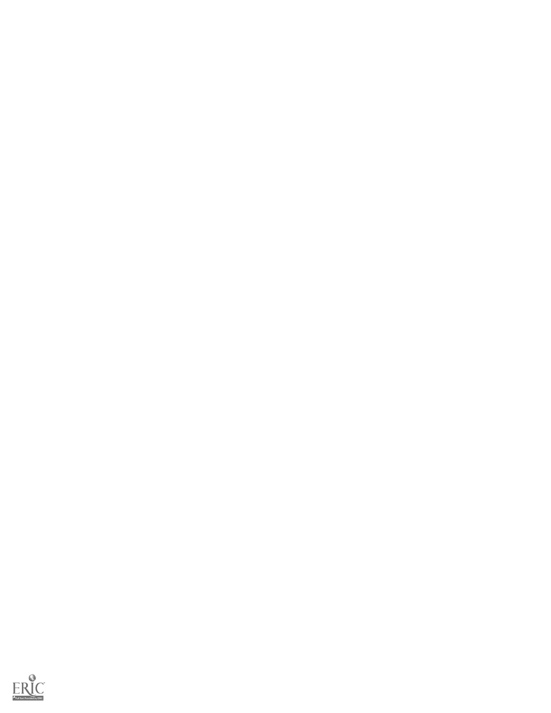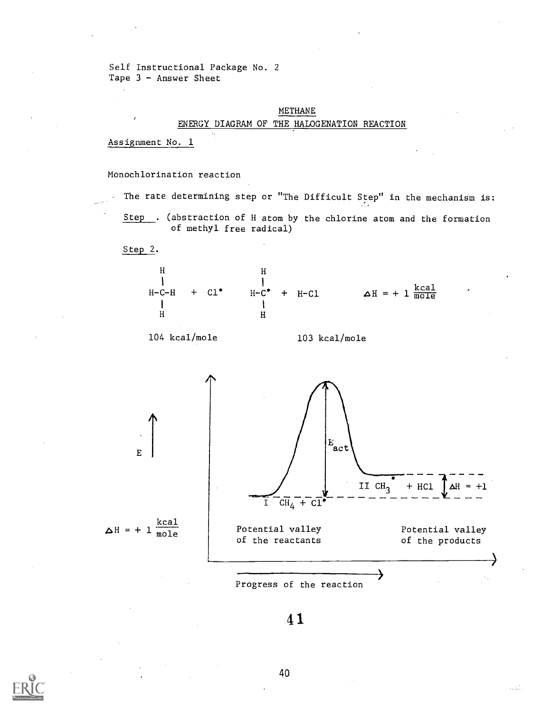Self Instructional Package No. 2 Tape  $3$  - Answer Sheet

# METHANE ENERGY DIAGRAM OF THE HALOGENATION REACTION

Assignment No. 1

# Monochlorination reaction

The rate determining step or "The Difficult Step" in the mechanism is: Step . (abstraction of H atom by the chlorine atom and the formation of methyl free radical)

Step 2.

H-C-H + Cl° H-C° + H-Cl kcal 1111 = 1 TOTE



103 kcal/mole



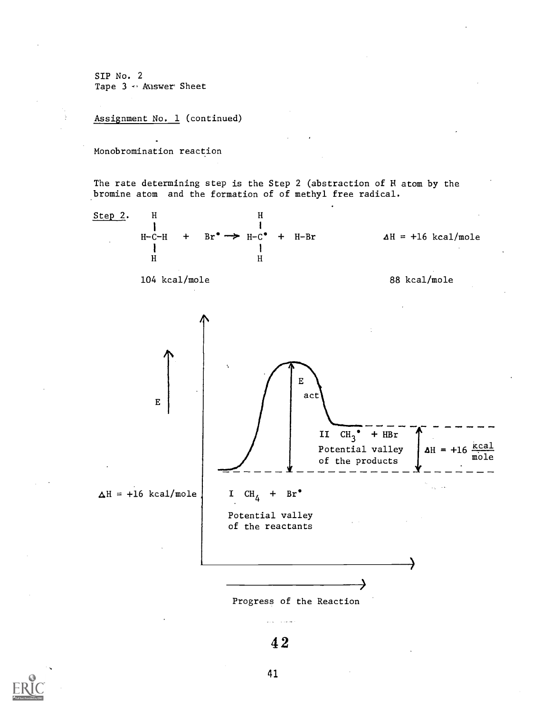Assignment No. 1 (continued)

Monobromination reaction

The rate determining step is the Step 2 (abstraction of  $H$  atom by the bromine atom and the formation of of methyl free radical.



4 2

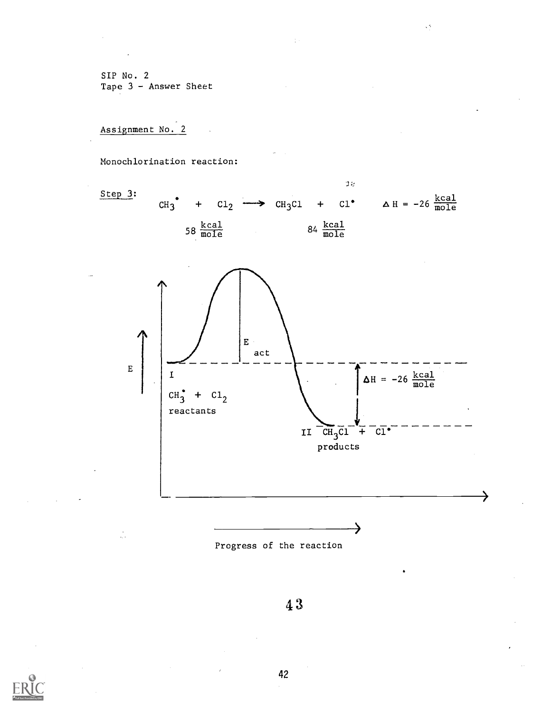Assignment No. 2

Ž,

Monochlorination reaction:







4 3

≯

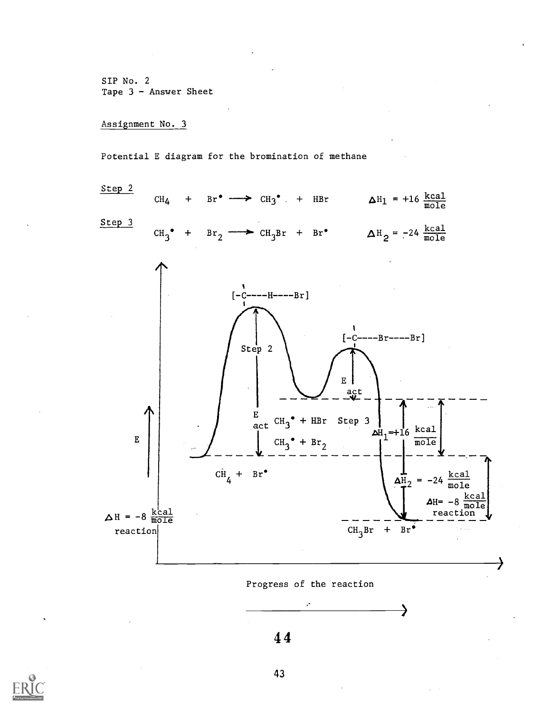# Assignment No. 3

Potential E diagram for the bromination of methane



Progress of the reaction

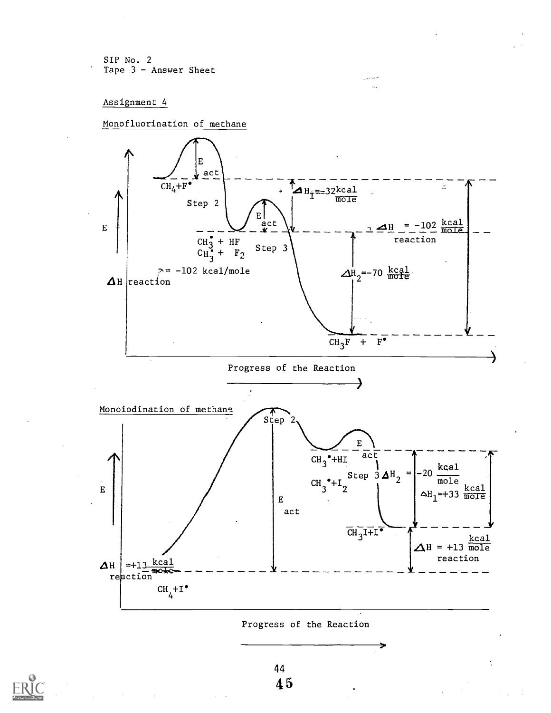# Assignment 4

Monofluorination of methane



Progress of the Reaction

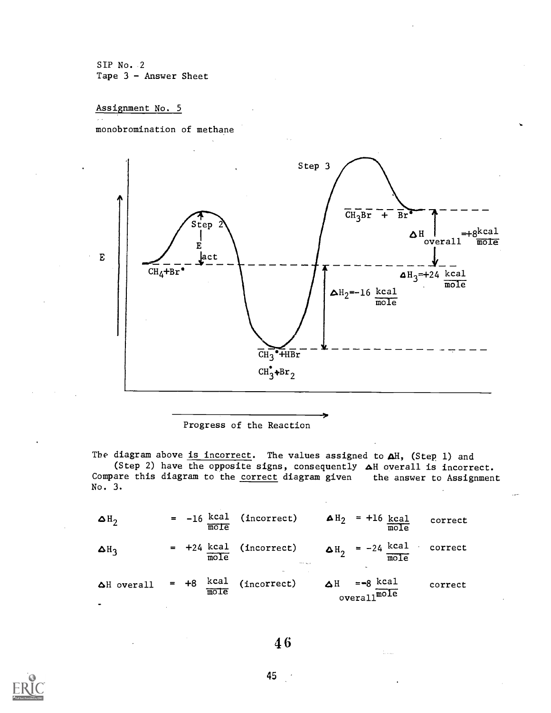# Assignment No. 5

monobromination of methane





The diagram above is incorrect. The values assigned to  $\Delta H$ , (Step 1) and (Step 2) have the opposite signs, consequently  $\Delta H$  overall is incorrect. Compare this diagram to the correct diagram given the answer to Assignment No. 3.

| $\Delta H_2$ |  | $\overline{\mathrm{moTe}}$               | $=$ $-16$ kcal (incorrect)                                               |            | $\Delta H_2$ = +16 kcal<br>mole                      | correct |
|--------------|--|------------------------------------------|--------------------------------------------------------------------------|------------|------------------------------------------------------|---------|
| $\Delta H_3$ |  |                                          | $=$ +24 $\frac{\text{kcal}}{\text{mole}}$ (incorrect)<br><b>The Card</b> |            | $\Delta H_2$ = -24 $\frac{kca1}{mole}$ correct       |         |
| AH overall   |  | $= +8$ $\frac{\text{kcal}}{\text{mole}}$ | (incorrect)                                                              | $\Delta H$ | = <del>-</del> 8 kcal<br>$overa11^{\overline{m}o1e}$ | correct |

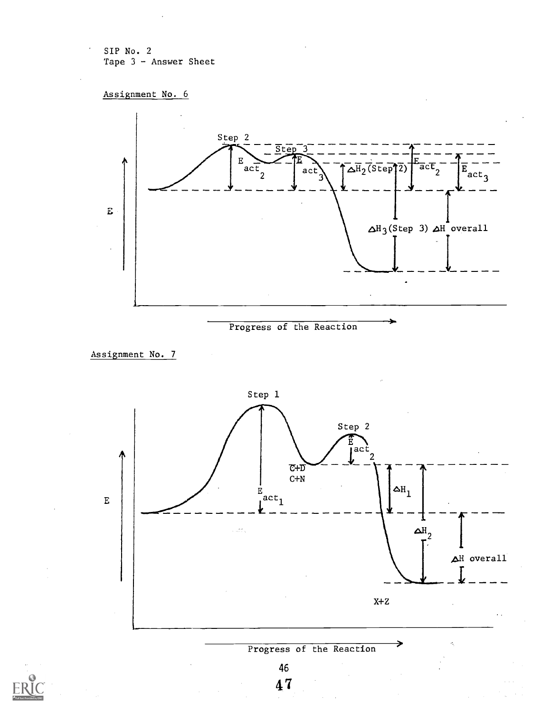



Progress of the Reaction



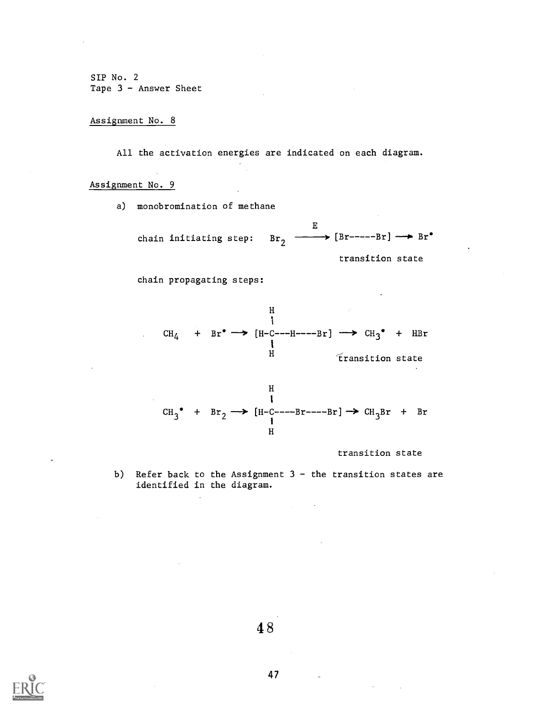Assignment No. 8

All the activation energies are indicated on each diagram.

Assignment No. 9

a) monobromination of methane

chain initiating step:  $\texttt{Br}_2 \xrightarrow{E} [\texttt{Br---Br}] \longrightarrow \texttt{Br}^*$ 

transition state

chain propagating steps:



$$
CH_3^{\bullet} + Br_2 \longrightarrow [H-C---Br---Br] \longrightarrow CH_3Br + Br
$$

transition state

b) Refer back to the Assignment  $3$  - the transition states are identified in the diagram.

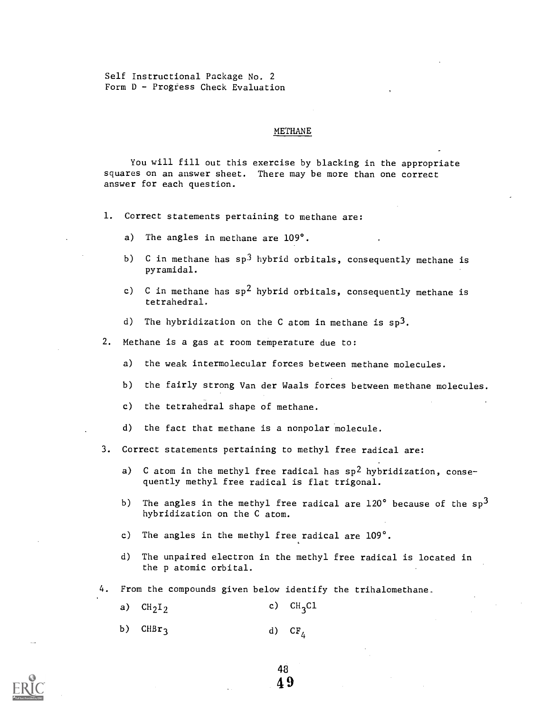Self Instructional Package No. 2 Form D - Progress Check Evaluation

#### METHANE

You will fill out this exercise by blacking in the appropriate squares on an answer sheet. There may be more than one correct answer for each question.

- 1. Correct statements pertaining to methane are:
	- a) The angles in methane are 109°.
	- b) C in methane has  $sp^3$  hybrid orbitals, consequently methane is pyramidal.
	- c) C in methane has  $sp^2$  hybrid orbitals, consequently methane is tetrahedral.
	- d) The hybridization on the C atom in methane is  $sp3$ .

2. Methane is a gas at room temperature due to:

- a) the weak intermolecular forces between methane molecules.
- b) the fairly strong Van der Waals forces between methane molecules.
- c) the tetrahedral shape of methane.
- d) the fact that methane is a nonpolar molecule.
- 3. Correct statements pertaining to methyl free radical are:
	- a) C atom in the methyl free radical has sp<sup>2</sup> hybridization, consequently methyl free radical is flat trigonal.
	- b) The angles in the methyl free radical are  $120^{\circ}$  because of the sp<sup>3</sup> hybridization on the C atom.
	- c) The angles in the methyl free radical are 109°.
	- d) The unpaired electron in the methyl free radical is located in the p atomic orbital.
- 4. From the compounds given below identify the trihalomethane.

a)  $CH_2I_2$ c) CH<sub>3</sub>Cl

b)  $CHBr<sub>3</sub>$ d)  $CF_A$ 

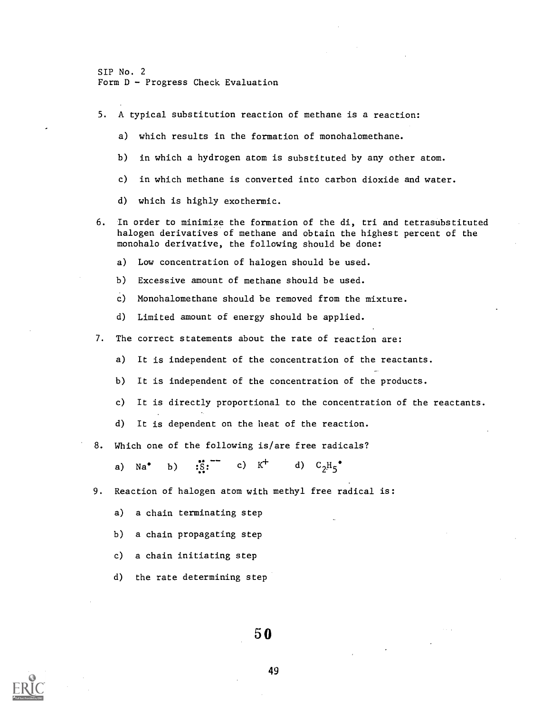- 5. A typical substitution reaction of methane is a reaction:
	- a) which results in the formation of monohalomethane.
	- b) in which a hydrogen atom is substituted by any other atom.
	- c) in which methane is converted into carbon dioxide and water.
	- d) which is highly exothermic.
- 6. In order to minimize the formation of the di, tri and tetrasubstituted halogen derivatives of methane and obtain the highest percent of the monohalo derivative, the following should be done:
	- a) Low concentration of halogen should be used.
	- b) Excessive amount of methane should be used.
	- c) Monohalomethane should be removed from the mixture.
	- d) Limited amount of energy should be applied.

7. The correct statements about the rate of reaction are:

- a) It is independent of the concentration of the reactants.
- b) It is independent of the concentration of the products.
- c) It is directly proportional to the concentration of the reactants.
- d) It is dependent on the heat of the reaction.
- 8. Which one of the following is/are free radicals?
	- a) Na<sup>\*</sup> b) : $S_2$ : c)  $K^+$  d)  $C_2H_S^*$
- 9. Reaction of halogen atom with methyl free radical is:
	- a) a chain terminating step
	- b) a chain propagating step
	- c) a chain initiating step
	- d) the rate determining step

5 0

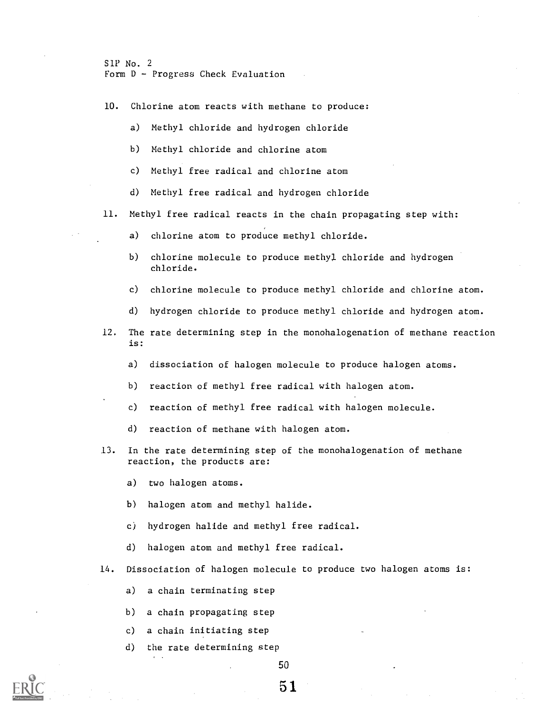10. Chlorine atom reacts with methane to produce:

- a) Methyl chloride and hydrogen chloride
- b) Methyl chloride and chlorine atom
- c) Methyl free radical and chlorine atom
- d) Methyl free radical and hydrogen chloride

11. Methyl free radical reacts in the chain propagating step with:

- a) chlorine atom to produce methyl chloride.
- b) chlorine molecule to produce methyl chloride and hydrogen chloride.
- c) chlorine molecule to produce methyl chloride and chlorine atom.
- d) hydrogen chloride to produce methyl chloride and hydrogen atom.
- 12. The rate determining step in the monohalogenation of methane reaction is:
	- a) dissociation of halogen molecule to produce halogen atoms.
	- b) reaction of methyl free radical with halogen atom.
	- c) reaction of methyl free radical with halogen molecule.
	- d) reaction of methane with halogen atom.
- 13. In the rate determining step of the monohalogenation of methane reaction, the products are:
	- a) two halogen atoms.
	- b) halogen atom and methyl halide.
	- ) hydrogen halide and methyl free radical.
	- d) halogen atom and methyl free radical.
- 14. Dissociation of halogen molecule to produce two halogen atoms is:
	- a) a chain terminating step
	- b) a chain propagating step
	- c) a chain initiating step
	- d) the rate determining step



50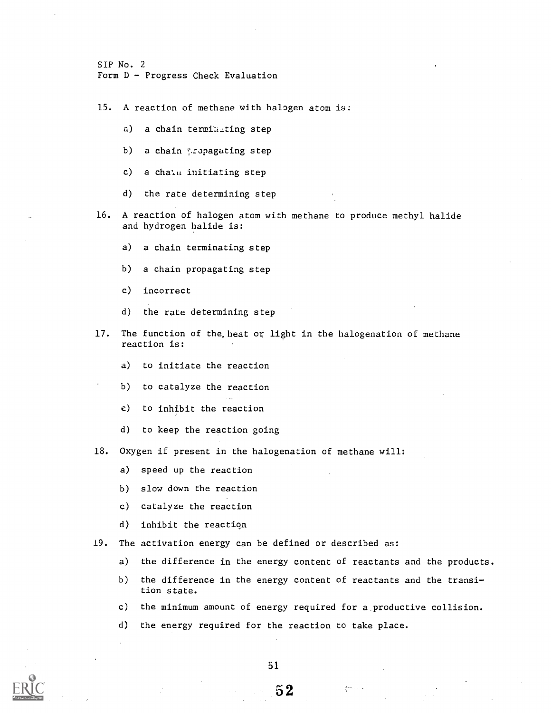15. A reaction of methane with halogen atom is:

- a) a chain terminating step
- b) a chain propagating step
- c) a chain initiating step
- d) the rate determining step
- 16. A reaction of halogen atom with methane to produce methyl halide and hydrogen halide is:
	- a) a chain terminating step
	- b) a chain propagating step
	- c) incorrect
	- d) the rate determining step
- 17. The function of the heat or light in the halogenation of methane reaction is:
	- a) to initiate the reaction
	- b) to catalyze the reaction
	- e) to inhibit the reaction
	- d) to keep the reaction going
- 18. Oxygen if present in the halogenation of methane will:
	- a) speed up the reaction
	- b) slow down the reaction
	- c) catalyze the reaction
	- d) inhibit the reaction
- 19. The activation energy can be defined or described as:
	- a) the difference in the energy content of reactants and the products.
	- b) the difference in the energy content of reactants and the transition state.
	- c) the minimum amount of energy required for a productive collision.
	- d) the energy required for the reaction to take place.



51

5 2

 $\mathcal{C}$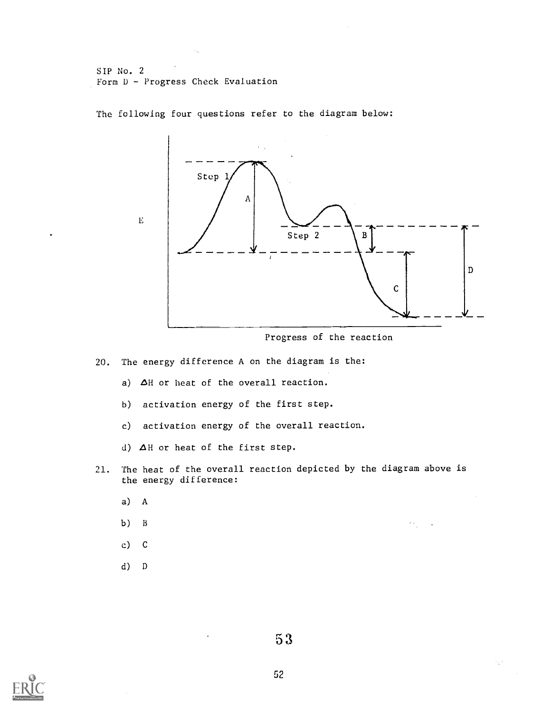> Step 1 A Step 2  $\, {\bf B}$  $\mathbf D$  $\mathsf{C}$

The following four questions refer to the diagram below:

Progress of the reaction

- 20. The energy difference A on the diagram is the:
	- a)  $\Delta H$  or heat of the overall reaction.
	- b) activation energy of the first step.
	- c) activation energy of the overall reaction.
	- d) AH or heat of the first step.
- 21. The heat of the overall reaction depicted by the diagram above is the energy difference:
	- a) A

 $\mathbf{E}% _{t}\left( t\right)$ 

- b) B
- c) C
- d) D

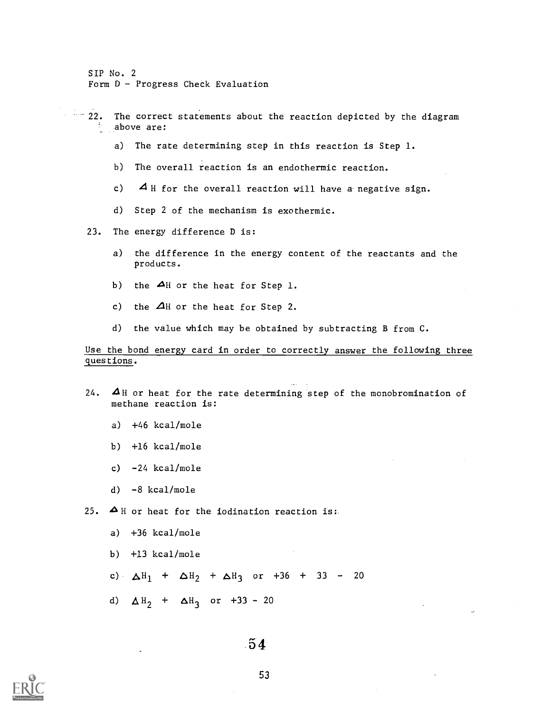22. The correct statements about the reaction depicted by the diagram above are:

- a) The rate determining step in this reaction is Step 1.
- b) The overall reaction is an endothermic reaction.
- c)  $\blacktriangle$  H for the overall reaction will have a negative sign.
- d) Step 2 of the mechanism is exothermic.
- 23. The energy difference D is:
	- a) the difference in the energy content of the reactants and the products.
	- b) the  $\Delta$ H or the heat for Step 1.
	- c) the  $\Delta$ H or the heat for Step 2.
	- d) the value which may be obtained by subtracting B from C.

Use the bond energy card in order to correctly answer the following three questions.

- 24.  $\Delta$ H or heat for the rate determining step of the monobromination of methane reaction is:
	- a) +46 kcal/mole
	- b) +16 kcal/mole
	- c)  $-24$  kcal/mole
	- d) -8 kcal/mole
- 25.  $\triangle$ H or heat for the iodination reaction is:
	- a) +36 kcal/mole
	- b) +13 kcal/mole
	- c)  $\Delta H_1$  +  $\Delta H_2$  +  $\Delta H_3$  or +36 + 33 20
	- d)  $\Delta H_2$  +  $\Delta H_3$  or +33 20

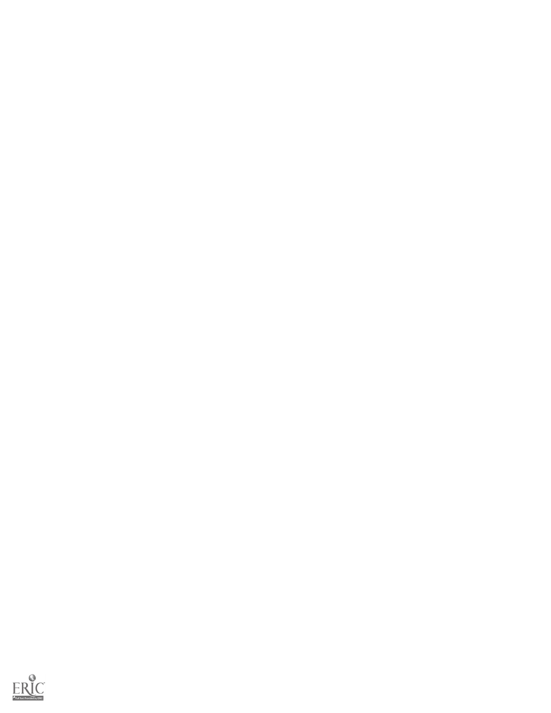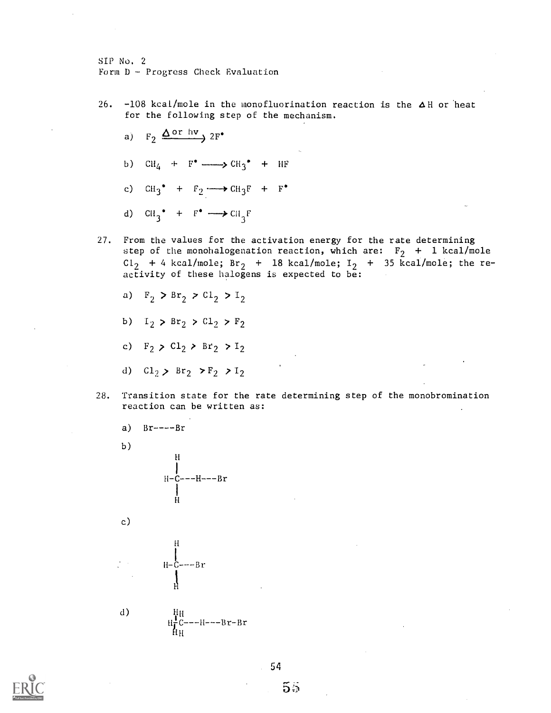- 26.  $-108$  kcal/mole in the monofluorination reaction is the  $\Delta$ H or heat for the following step of the mechanism.
	- $F_2 \xrightarrow{\Delta \text{ or } \text{hv}} 2F^{\bullet}$
	- b)  $CH_4$  +  $F^{\bullet}$   $\longrightarrow$   $CH_3^{\bullet}$  +  $HF$
	- c)  $CH_3^{\bullet}$  +  $F_2 \longrightarrow CH_3F$  +  $F^{\bullet}$
	- d)  $CH_3^{\bullet}$  +  $F^{\bullet}$   $\longrightarrow CH_3F$
- 27. From the values for the activation energy for the rate determining step of the monohalogenation reaction, which are:  $F_2 + 1$  kcal/mole Cl<sub>2</sub> + 4 kcal/mole; Br<sub>2</sub> + 18 kcal/mole; I<sub>2</sub> + 35 kcal/mole; the reactivity of these halogens is expected to be:
	- a)  $F_2 > Br_2 > Cl_2 > I_2$
	- b)  $I_2 > Br_2 > Cl_2 > F_2$
	- c)  $F_2 > C1_2 > Br_2 > I_2$
	- d)  $CI_2 > Br_2 > F_2 > I_2$
- 28. Transition state for the rate determining step of the monobromination reaction can be written as:



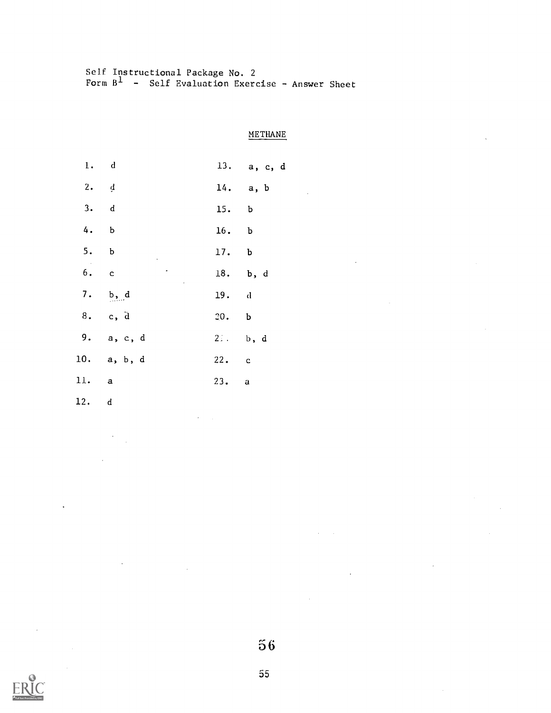Self Instructional Package No. 2 Form  $B^+$  - Self Evaluation Exercise - Answer Sheet

# METHANE

|        | 1. d         |       | 13. $a, c, d$ |
|--------|--------------|-------|---------------|
| 2. $d$ |              |       | 14. a, b      |
| 3. d   |              | 15. b |               |
| 4. b   |              | 16. b |               |
| 5. b   |              | 17. b |               |
| 6. c   | $\,$ $\,$    |       | 18. b, d      |
|        | 7. b, d      | 19. d |               |
|        | 8. c, d      | 20. b |               |
|        | 9. $a, c, d$ |       | $2i.$ b, d    |
|        | 10. a, b, d  | 22. c |               |
| 11. a  |              | 23. a |               |
| 12. d  |              |       |               |



 $56$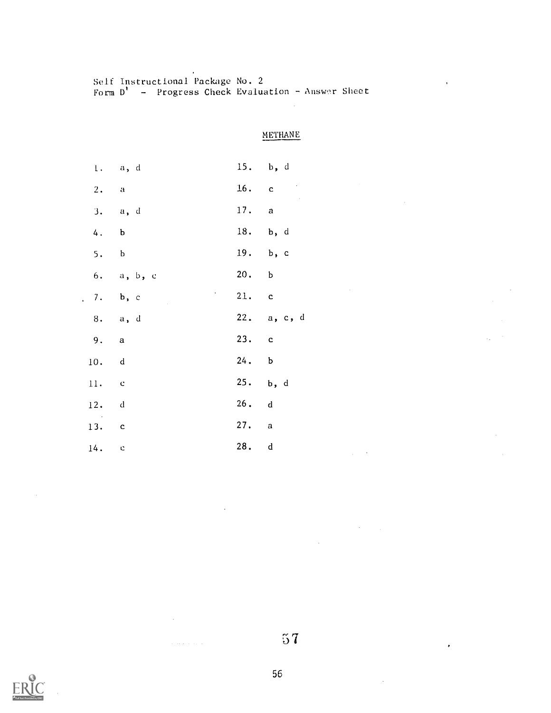Self instructional Package No. 2 Form D' — Progress Check Evaluation — Answer Sheet

# METHANE

 $\sim$ 

 $\sim$ 

 $\mathcal{L}^{\text{max}}_{\text{max}}$  , where  $\mathcal{L}^{\text{max}}_{\text{max}}$ 

 $\bar{\mathcal{A}}$ 

 $\sim 10^{-1}$ 

 $\bar{\mathbf{r}}$ 

 $\mathcal{L}_{\mathbf{a}}$ 

 $\hat{\boldsymbol{r}}$ 

|                          | 1. a, d                                           |       | $15.$ b, d    |
|--------------------------|---------------------------------------------------|-------|---------------|
| 2. a                     |                                                   |       | $16.$ c       |
|                          | 3. a, d                                           | 17. a |               |
| $4$ .                    | $\mathbf{b}$                                      |       | 18. b, d      |
|                          | 5. b                                              |       | 19. b, c      |
|                          | 6. a, b, c                                        | 20. b |               |
|                          | $\mathcal{O}(10^{10} \, \mathrm{Mpc})$<br>7. b, c | 21. c |               |
|                          | 8. a, d                                           |       | 22. $a, c, d$ |
| 9. a                     |                                                   | 23. c |               |
| 10. d                    |                                                   | 24. b |               |
| 11. c                    |                                                   |       | 25. b, d      |
| 12. d                    |                                                   | 26. d |               |
| $\sim 10^{-10}$<br>13. c |                                                   | 27. a |               |
| 14.                      | $\sim$ 0                                          | 28. d |               |
|                          |                                                   |       |               |

 $\ddot{\phantom{a}}$ 

 $\mathcal{A}^{\mathcal{A}}$ 

 $\sim$  10 km s  $\sim$  10 km s  $^{-1}$ 

 $57$ 



 $\hat{\mathcal{A}}$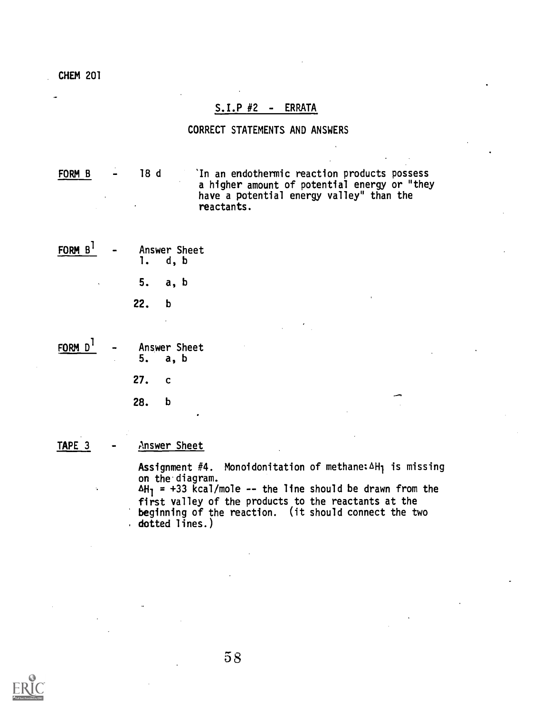CHEM 201

# $S.I.P$   $#2$  - ERRATA

# CORRECT STATEMENTS AND ANSWERS

FORM B 18 d <sup>'</sup>In an endothermic reaction products possess a higher amount of potential energy or "they have a potential energy valley" than the reactants.

- $FORM B<sup>1</sup>$  Answer Sheet<br>1. d, b 1. d, b 5. a, b 22. b
- FORM  $D^1$  Answer Sheet<br>5. a, b 5. a, b 27. c

28. b

TAPE 3 - Answer Sheet

Assignment  $#4$ . Monoidonitation of methane:  $\Delta H_1$  is missing on the.diagram.

 $\Delta H_1$  = +33 kcal/mole -- the line should be drawn from the first valley of the products to the reactants at the beginning of the reaction. (it should connect the two . dotted lines.)

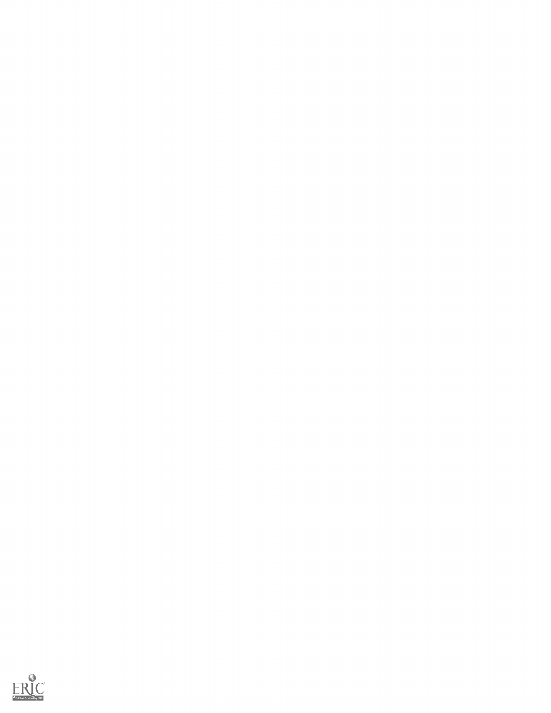